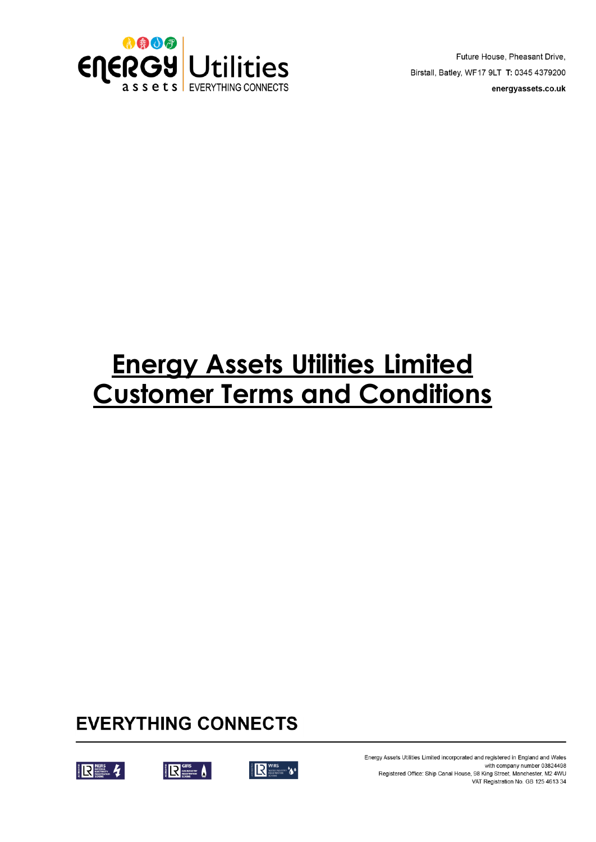

Future House, Pheasant Drive, Birstall, Batley, WF17 9LT T: 0345 4379200 energyassets.co.uk

# **Energy Assets Utilities Limited Customer Terms and Conditions**

# **EVERYTHING CONNECTS**







Energy Assets Utilities Limited incorporated and registered in England and Wales with company number 03824498 Registered Office: Ship Canal House, 98 King Street, Manchester, M2 4WU VAT Registration No. GB 125 4613 34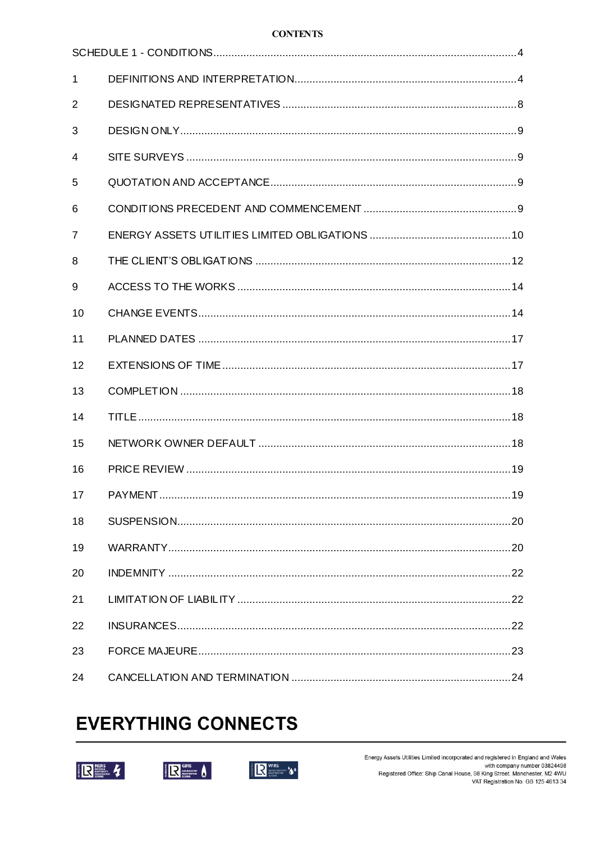#### **CONTENTS**

| $\mathbf{1}$   |                 |
|----------------|-----------------|
| 2              |                 |
| 3              |                 |
| $\overline{4}$ |                 |
| 5              |                 |
| 6              |                 |
| $\overline{7}$ |                 |
| 8              |                 |
| 9              |                 |
| 10             |                 |
| 11             |                 |
| 12             |                 |
| 13             |                 |
| 14             |                 |
| 15             |                 |
| 16             |                 |
| 17             | PAYMENT.<br>.19 |
| 18             |                 |
| 19             |                 |
| 20             |                 |
| 21             |                 |
| 22             |                 |
| 23             |                 |
| 24             |                 |

# **EVERYTHING CONNECTS**







Energy Assets Utilities Limited incorporated and registered in England and Wales with company number 03824498<br>
With company number 03824498<br>
Registered Office: Ship Canal House, 98 King Street, Manchester, M2 4WU<br>
VAT Registration No. GB 125 4613 34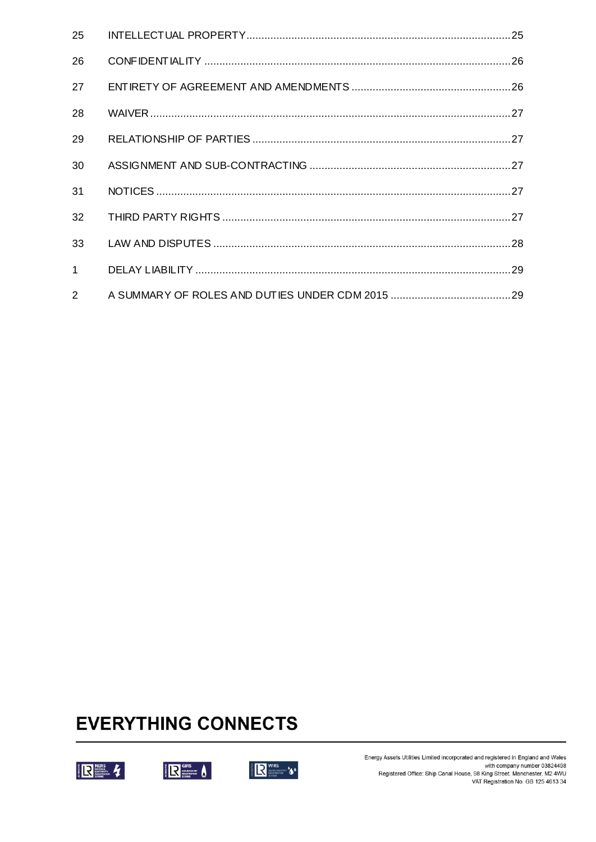| 25             |  |
|----------------|--|
| 26             |  |
| 27             |  |
| 28             |  |
| 29             |  |
| 30             |  |
| 31             |  |
| 32             |  |
| 33             |  |
| 1 <sup>1</sup> |  |
| $\overline{2}$ |  |

# **EVERYTHING CONNECTS**







Energy Assets Utilities Limited incorporated and registered in England and Wales with company number 03824498<br>with company number 03824498<br>Registered Office: Ship Canal House, 98 King Street, Manchester, M2 4WU<br>VAT Registration No. GB 125 4613 34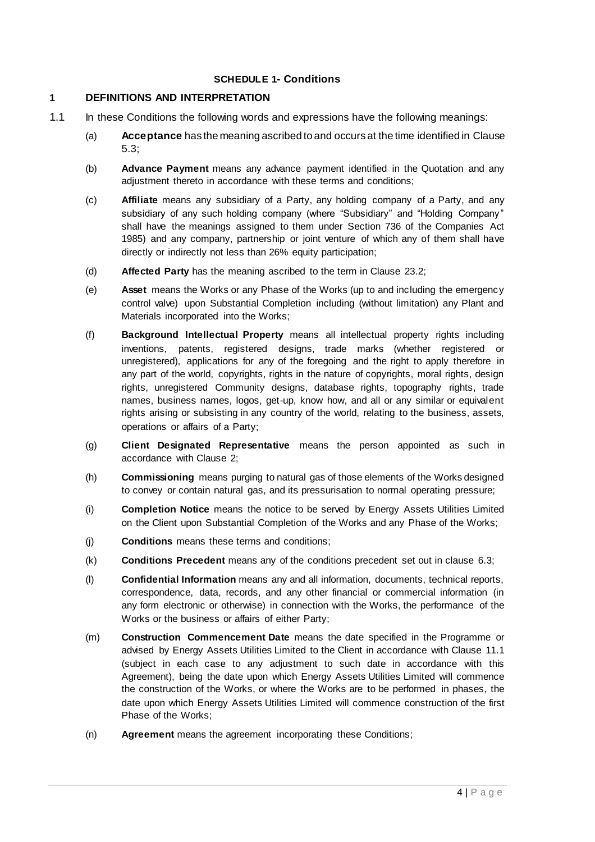# **SCHEDULE 1- Conditions**

# <span id="page-3-2"></span><span id="page-3-1"></span><span id="page-3-0"></span>**1 DEFINITIONS AND INTERPRETATION**

- 1.1 In these Conditions the following words and expressions have the following meanings:
	- (a) **Acceptance** has the meaning ascribed to and occurs at the time identified in Clause [5.3;](#page-8-4)
	- (b) **Advance Payment** means any advance payment identified in the Quotation and any adjustment thereto in accordance with these terms and conditions;
	- (c) **Affiliate** means any subsidiary of a Party, any holding company of a Party, and any subsidiary of any such holding company (where "Subsidiary" and "Holding Company" shall have the meanings assigned to them under Section 736 of the Companies Act 1985) and any company, partnership or joint venture of which any of them shall have directly or indirectly not less than 26% equity participation;
	- (d) **Affected Party** has the meaning ascribed to the term in Clause [23.2;](#page-22-1)
	- (e) **Asset** means the Works or any Phase of the Works (up to and including the emergency control valve) upon Substantial Completion including (without limitation) any Plant and Materials incorporated into the Works;
	- (f) **Background Intellectual Property** means all intellectual property rights including inventions, patents, registered designs, trade marks (whether registered or unregistered), applications for any of the foregoing and the right to apply therefore in any part of the world, copyrights, rights in the nature of copyrights, moral rights, design rights, unregistered Community designs, database rights, topography rights, trade names, business names, logos, get-up, know how, and all or any similar or equivalent rights arising or subsisting in any country of the world, relating to the business, assets, operations or affairs of a Party;
	- (g) **Client Designated Representative** means the person appointed as such in accordance with Clause [2;](#page-7-1)
	- (h) **Commissioning** means purging to natural gas of those elements of the Works designed to convey or contain natural gas, and its pressurisation to normal operating pressure;
	- (i) **Completion Notice** means the notice to be served by Energy Assets Utilities Limited on the Client upon Substantial Completion of the Works and any Phase of the Works;
	- (j) **Conditions** means these terms and conditions;
	- (k) **Conditions Precedent** means any of the conditions precedent set out in clause [6.3;](#page-9-1)
	- (l) **Confidential Information** means any and all information, documents, technical reports, correspondence, data, records, and any other financial or commercial information (in any form electronic or otherwise) in connection with the Works, the performance of the Works or the business or affairs of either Party;
	- (m) **Construction Commencement Date** means the date specified in the Programme or advised by Energy Assets Utilities Limited to the Client in accordance with Clause [11.1](#page-16-2) (subject in each case to any adjustment to such date in accordance with this Agreement), being the date upon which Energy Assets Utilities Limited will commence the construction of the Works, or where the Works are to be performed in phases, the date upon which Energy Assets Utilities Limited will commence construction of the first Phase of the Works;
	- (n) **Agreement** means the agreement incorporating these Conditions;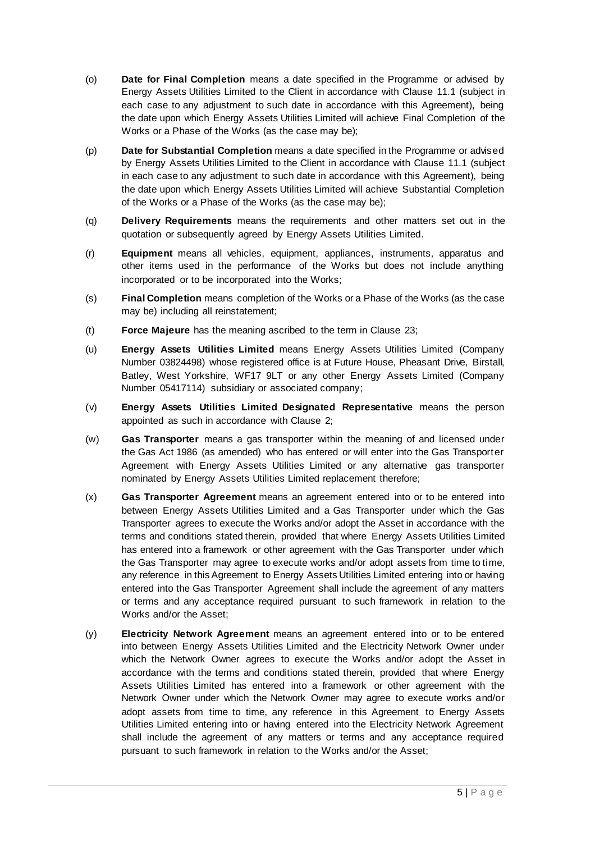- (o) **Date for Final Completion** means a date specified in the Programme or advised by Energy Assets Utilities Limited to the Client in accordance with Clause [11.1](#page-16-2) (subject in each case to any adjustment to such date in accordance with this Agreement), being the date upon which Energy Assets Utilities Limited will achieve Final Completion of the Works or a Phase of the Works (as the case may be);
- (p) **Date for Substantial Completion** means a date specified in the Programme or advised by Energy Assets Utilities Limited to the Client in accordance with Clause [11.1](#page-16-2) (subject in each case to any adjustment to such date in accordance with this Agreement), being the date upon which Energy Assets Utilities Limited will achieve Substantial Completion of the Works or a Phase of the Works (as the case may be);
- (q) **Delivery Requirements** means the requirements and other matters set out in the quotation or subsequently agreed by Energy Assets Utilities Limited.
- (r) **Equipment** means all vehicles, equipment, appliances, instruments, apparatus and other items used in the performance of the Works but does not include anything incorporated or to be incorporated into the Works;
- (s) **Final Completion** means completion of the Works or a Phase of the Works (as the case may be) including all reinstatement;
- (t) **Force Majeure** has the meaning ascribed to the term in Clause [23;](#page-22-2)
- (u) **Energy Assets Utilities Limited** means Energy Assets Utilities Limited (Company Number 03824498) whose registered office is at Future House, Pheasant Drive, Birstall, Batley, West Yorkshire, WF17 9LT or any other Energy Assets Limited (Company Number 05417114) subsidiary or associated company;
- (v) **Energy Assets Utilities Limited Designated Representative** means the person appointed as such in accordance with Clause [2;](#page-7-1)
- (w) **Gas Transporter** means a gas transporter within the meaning of and licensed under the Gas Act 1986 (as amended) who has entered or will enter into the Gas Transporter Agreement with Energy Assets Utilities Limited or any alternative gas transporter nominated by Energy Assets Utilities Limited replacement therefore;
- (x) **Gas Transporter Agreement** means an agreement entered into or to be entered into between Energy Assets Utilities Limited and a Gas Transporter under which the Gas Transporter agrees to execute the Works and/or adopt the Asset in accordance with the terms and conditions stated therein, provided that where Energy Assets Utilities Limited has entered into a framework or other agreement with the Gas Transporter under which the Gas Transporter may agree to execute works and/or adopt assets from time to time, any reference in this Agreement to Energy Assets Utilities Limited entering into or having entered into the Gas Transporter Agreement shall include the agreement of any matters or terms and any acceptance required pursuant to such framework in relation to the Works and/or the Asset;
- (y) **Electricity Network Agreement** means an agreement entered into or to be entered into between Energy Assets Utilities Limited and the Electricity Network Owner under which the Network Owner agrees to execute the Works and/or adopt the Asset in accordance with the terms and conditions stated therein, provided that where Energy Assets Utilities Limited has entered into a framework or other agreement with the Network Owner under which the Network Owner may agree to execute works and/or adopt assets from time to time, any reference in this Agreement to Energy Assets Utilities Limited entering into or having entered into the Electricity Network Agreement shall include the agreement of any matters or terms and any acceptance required pursuant to such framework in relation to the Works and/or the Asset;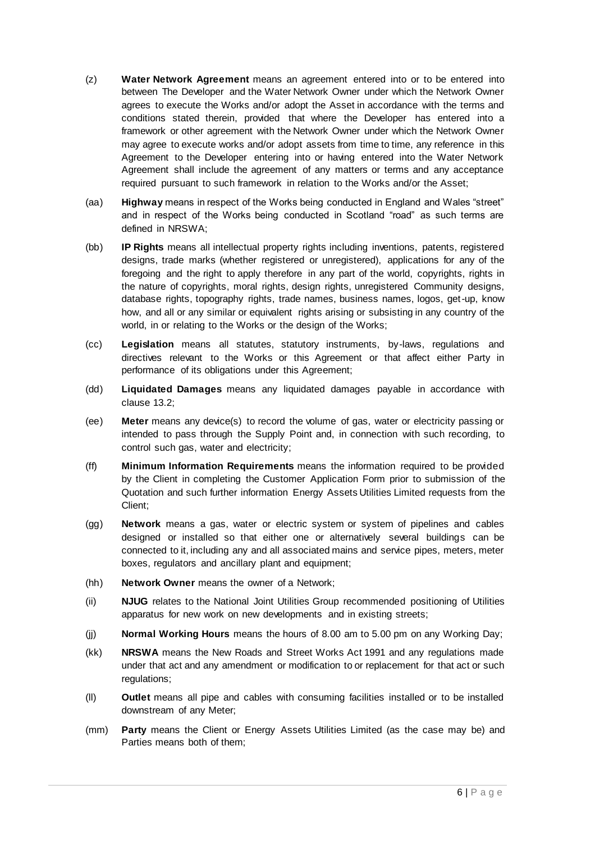- (z) **Water Network Agreement** means an agreement entered into or to be entered into between The Developer and the Water Network Owner under which the Network Owner agrees to execute the Works and/or adopt the Asset in accordance with the terms and conditions stated therein, provided that where the Developer has entered into a framework or other agreement with the Network Owner under which the Network Owner may agree to execute works and/or adopt assets from time to time, any reference in this Agreement to the Developer entering into or having entered into the Water Network Agreement shall include the agreement of any matters or terms and any acceptance required pursuant to such framework in relation to the Works and/or the Asset;
- (aa) **Highway** means in respect of the Works being conducted in England and Wales "street" and in respect of the Works being conducted in Scotland "road" as such terms are defined in NRSWA;
- (bb) **IP Rights** means all intellectual property rights including inventions, patents, registered designs, trade marks (whether registered or unregistered), applications for any of the foregoing and the right to apply therefore in any part of the world, copyrights, rights in the nature of copyrights, moral rights, design rights, unregistered Community designs, database rights, topography rights, trade names, business names, logos, get-up, know how, and all or any similar or equivalent rights arising or subsisting in any country of the world, in or relating to the Works or the design of the Works;
- (cc) **Legislation** means all statutes, statutory instruments, by-laws, regulations and directives relevant to the Works or this Agreement or that affect either Party in performance of its obligations under this Agreement;
- (dd) **Liquidated Damages** means any liquidated damages payable in accordance with clause [13.2;](#page-17-3)
- (ee) **Meter** means any device(s) to record the volume of gas, water or electricity passing or intended to pass through the Supply Point and, in connection with such recording, to control such gas, water and electricity;
- (ff) **Minimum Information Requirements** means the information required to be provided by the Client in completing the Customer Application Form prior to submission of the Quotation and such further information Energy Assets Utilities Limited requests from the Client;
- (gg) **Network** means a gas, water or electric system or system of pipelines and cables designed or installed so that either one or alternatively several buildings can be connected to it, including any and all associated mains and service pipes, meters, meter boxes, regulators and ancillary plant and equipment;
- (hh) **Network Owner** means the owner of a Network;
- (ii) **NJUG** relates to the National Joint Utilities Group recommended positioning of Utilities apparatus for new work on new developments and in existing streets;
- (jj) **Normal Working Hours** means the hours of 8.00 am to 5.00 pm on any Working Day;
- (kk) **NRSWA** means the New Roads and Street Works Act 1991 and any regulations made under that act and any amendment or modification to or replacement for that act or such regulations;
- (ll) **Outlet** means all pipe and cables with consuming facilities installed or to be installed downstream of any Meter;
- (mm) **Party** means the Client or Energy Assets Utilities Limited (as the case may be) and Parties means both of them;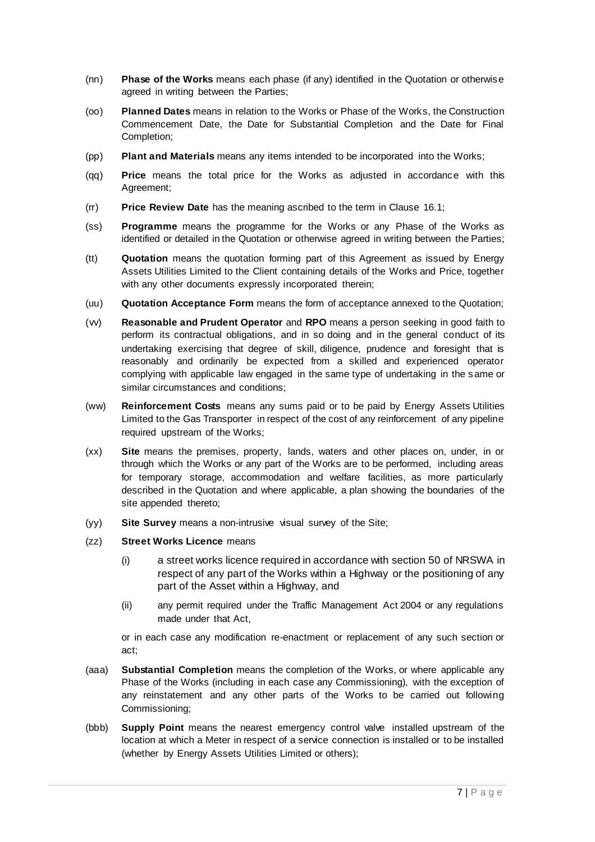- (nn) **Phase of the Works** means each phase (if any) identified in the Quotation or otherwise agreed in writing between the Parties;
- (oo) **Planned Dates** means in relation to the Works or Phase of the Works, the Construction Commencement Date, the Date for Substantial Completion and the Date for Final Completion;
- (pp) **Plant and Materials** means any items intended to be incorporated into the Works;
- (qq) **Price** means the total price for the Works as adjusted in accordance with this Agreement;
- (rr) **Price Review Date** has the meaning ascribed to the term in Clause [16.1;](#page-18-2)
- (ss) **Programme** means the programme for the Works or any Phase of the Works as identified or detailed in the Quotation or otherwise agreed in writing between the Parties;
- (tt) **Quotation** means the quotation forming part of this Agreement as issued by Energy Assets Utilities Limited to the Client containing details of the Works and Price, together with any other documents expressly incorporated therein;
- (uu) **Quotation Acceptance Form** means the form of acceptance annexed to the Quotation;
- (vv) **Reasonable and Prudent Operator** and **RPO** means a person seeking in good faith to perform its contractual obligations, and in so doing and in the general conduct of its undertaking exercising that degree of skill, diligence, prudence and foresight that is reasonably and ordinarily be expected from a skilled and experienced operator complying with applicable law engaged in the same type of undertaking in the same or similar circumstances and conditions;
- (ww) **Reinforcement Costs** means any sums paid or to be paid by Energy Assets Utilities Limited to the Gas Transporter in respect of the cost of any reinforcement of any pipeline required upstream of the Works;
- (xx) **Site** means the premises, property, lands, waters and other places on, under, in or through which the Works or any part of the Works are to be performed, including areas for temporary storage, accommodation and welfare facilities, as more particularly described in the Quotation and where applicable, a plan showing the boundaries of the site appended thereto;
- (yy) **Site Survey** means a non-intrusive visual survey of the Site;
- (zz) **Street Works Licence** means
	- (i) a street works licence required in accordance with section 50 of NRSWA in respect of any part of the Works within a Highway or the positioning of any part of the Asset within a Highway, and
	- (ii) any permit required under the Traffic Management Act 2004 or any regulations made under that Act,

or in each case any modification re-enactment or replacement of any such section or act;

- (aaa) **Substantial Completion** means the completion of the Works, or where applicable any Phase of the Works (including in each case any Commissioning), with the exception of any reinstatement and any other parts of the Works to be carried out following Commissioning;
- (bbb) **Supply Point** means the nearest emergency control valve installed upstream of the location at which a Meter in respect of a service connection is installed or to be installed (whether by Energy Assets Utilities Limited or others);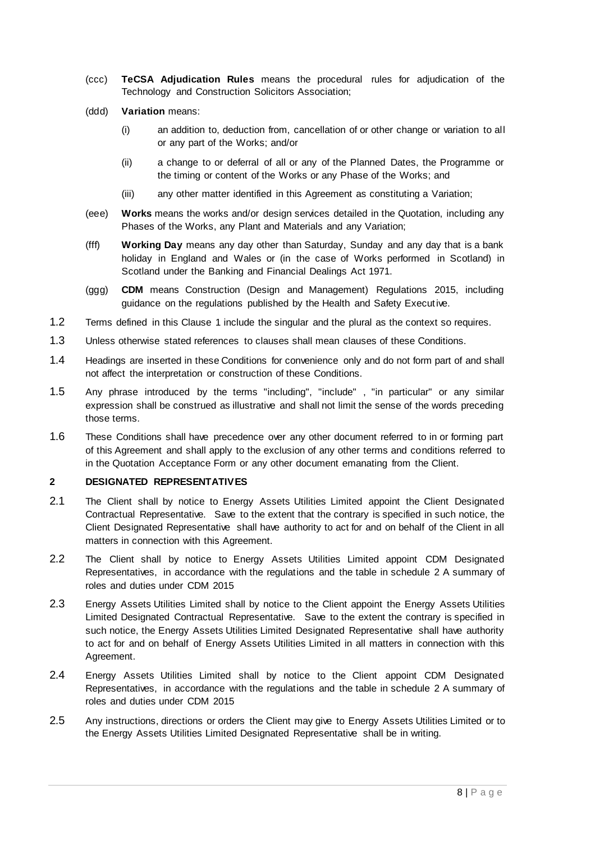- (ccc) **TeCSA Adjudication Rules** means the procedural rules for adjudication of the Technology and Construction Solicitors Association;
- (ddd) **Variation** means:
	- (i) an addition to, deduction from, cancellation of or other change or variation to all or any part of the Works; and/or
	- (ii) a change to or deferral of all or any of the Planned Dates, the Programme or the timing or content of the Works or any Phase of the Works; and
	- (iii) any other matter identified in this Agreement as constituting a Variation;
- (eee) **Works** means the works and/or design services detailed in the Quotation, including any Phases of the Works, any Plant and Materials and any Variation;
- (fff) **Working Day** means any day other than Saturday, Sunday and any day that is a bank holiday in England and Wales or (in the case of Works performed in Scotland) in Scotland under the Banking and Financial Dealings Act 1971.
- (ggg) **CDM** means Construction (Design and Management) Regulations 2015, including guidance on the regulations published by the Health and Safety Executive.
- 1.2 Terms defined in this Clause [1](#page-3-2) include the singular and the plural as the context so requires.
- 1.3 Unless otherwise stated references to clauses shall mean clauses of these Conditions.
- 1.4 Headings are inserted in these Conditions for convenience only and do not form part of and shall not affect the interpretation or construction of these Conditions.
- 1.5 Any phrase introduced by the terms "including", "include" , "in particular" or any similar expression shall be construed as illustrative and shall not limit the sense of the words preceding those terms.
- 1.6 These Conditions shall have precedence over any other document referred to in or forming part of this Agreement and shall apply to the exclusion of any other terms and conditions referred to in the Quotation Acceptance Form or any other document emanating from the Client.

#### <span id="page-7-1"></span><span id="page-7-0"></span>**2 DESIGNATED REPRESENTATIVES**

- 2.1 The Client shall by notice to Energy Assets Utilities Limited appoint the Client Designated Contractual Representative. Save to the extent that the contrary is specified in such notice, the Client Designated Representative shall have authority to act for and on behalf of the Client in all matters in connection with this Agreement.
- 2.2 The Client shall by notice to Energy Assets Utilities Limited appoint CDM Designated Representatives, in accordance with the regulations and the table in schedule 2 A summary of roles and duties under CDM 2015
- 2.3 Energy Assets Utilities Limited shall by notice to the Client appoint the Energy Assets Utilities Limited Designated Contractual Representative. Save to the extent the contrary is specified in such notice, the Energy Assets Utilities Limited Designated Representative shall have authority to act for and on behalf of Energy Assets Utilities Limited in all matters in connection with this Agreement.
- 2.4 Energy Assets Utilities Limited shall by notice to the Client appoint CDM Designated Representatives, in accordance with the regulations and the table in schedule 2 A summary of roles and duties under CDM 2015
- 2.5 Any instructions, directions or orders the Client may give to Energy Assets Utilities Limited or to the Energy Assets Utilities Limited Designated Representative shall be in writing.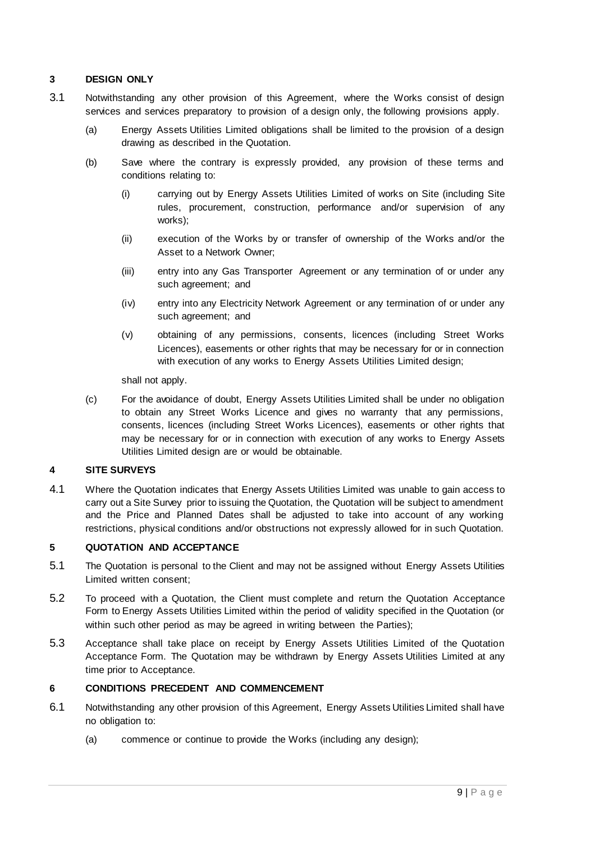# <span id="page-8-0"></span>**3 DESIGN ONLY**

- 3.1 Notwithstanding any other provision of this Agreement, where the Works consist of design services and services preparatory to provision of a design only, the following provisions apply.
	- (a) Energy Assets Utilities Limited obligations shall be limited to the provision of a design drawing as described in the Quotation.
	- (b) Save where the contrary is expressly provided, any provision of these terms and conditions relating to:
		- (i) carrying out by Energy Assets Utilities Limited of works on Site (including Site rules, procurement, construction, performance and/or supervision of any works);
		- (ii) execution of the Works by or transfer of ownership of the Works and/or the Asset to a Network Owner;
		- (iii) entry into any Gas Transporter Agreement or any termination of or under any such agreement; and
		- (iv) entry into any Electricity Network Agreement or any termination of or under any such agreement; and
		- (v) obtaining of any permissions, consents, licences (including Street Works Licences), easements or other rights that may be necessary for or in connection with execution of any works to Energy Assets Utilities Limited design;

shall not apply.

(c) For the avoidance of doubt, Energy Assets Utilities Limited shall be under no obligation to obtain any Street Works Licence and gives no warranty that any permissions, consents, licences (including Street Works Licences), easements or other rights that may be necessary for or in connection with execution of any works to Energy Assets Utilities Limited design are or would be obtainable.

### <span id="page-8-1"></span>**4 SITE SURVEYS**

4.1 Where the Quotation indicates that Energy Assets Utilities Limited was unable to gain access to carry out a Site Survey prior to issuing the Quotation, the Quotation will be subject to amendment and the Price and Planned Dates shall be adjusted to take into account of any working restrictions, physical conditions and/or obstructions not expressly allowed for in such Quotation.

# <span id="page-8-2"></span>**5 QUOTATION AND ACCEPTANCE**

- 5.1 The Quotation is personal to the Client and may not be assigned without Energy Assets Utilities Limited written consent;
- 5.2 To proceed with a Quotation, the Client must complete and return the Quotation Acceptance Form to Energy Assets Utilities Limited within the period of validity specified in the Quotation (or within such other period as may be agreed in writing between the Parties);
- <span id="page-8-4"></span>5.3 Acceptance shall take place on receipt by Energy Assets Utilities Limited of the Quotation Acceptance Form. The Quotation may be withdrawn by Energy Assets Utilities Limited at any time prior to Acceptance.

# <span id="page-8-5"></span><span id="page-8-3"></span>**6 CONDITIONS PRECEDENT AND COMMENCEMENT**

- <span id="page-8-6"></span>6.1 Notwithstanding any other provision of this Agreement, Energy Assets Utilities Limited shall have no obligation to:
	- (a) commence or continue to provide the Works (including any design);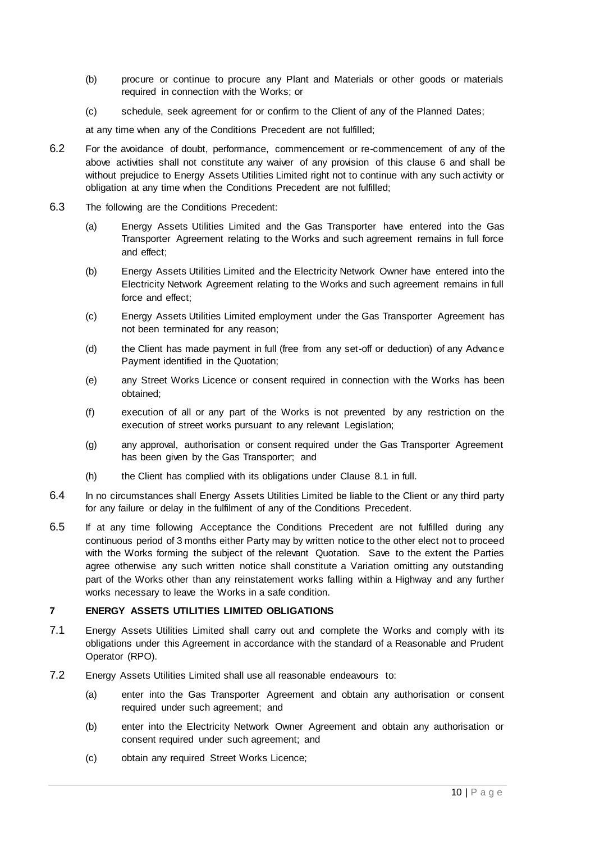- <span id="page-9-2"></span>(b) procure or continue to procure any Plant and Materials or other goods or materials required in connection with the Works; or
- (c) schedule, seek agreement for or confirm to the Client of any of the Planned Dates;

at any time when any of the Conditions Precedent are not fulfilled;

- <span id="page-9-3"></span>6.2 For the avoidance of doubt, performance, commencement or re-commencement of any of the above activities shall not constitute any waiver of any provision of this clause [6](#page-8-5) and shall be without prejudice to Energy Assets Utilities Limited right not to continue with any such activity or obligation at any time when the Conditions Precedent are not fulfilled;
- <span id="page-9-1"></span>6.3 The following are the Conditions Precedent:
	- (a) Energy Assets Utilities Limited and the Gas Transporter have entered into the Gas Transporter Agreement relating to the Works and such agreement remains in full force and effect;
	- (b) Energy Assets Utilities Limited and the Electricity Network Owner have entered into the Electricity Network Agreement relating to the Works and such agreement remains in full force and effect;
	- (c) Energy Assets Utilities Limited employment under the Gas Transporter Agreement has not been terminated for any reason;
	- (d) the Client has made payment in full (free from any set-off or deduction) of any Advance Payment identified in the Quotation;
	- (e) any Street Works Licence or consent required in connection with the Works has been obtained;
	- (f) execution of all or any part of the Works is not prevented by any restriction on the execution of street works pursuant to any relevant Legislation;
	- (g) any approval, authorisation or consent required under the Gas Transporter Agreement has been given by the Gas Transporter; and
	- (h) the Client has complied with its obligations under Clause [8.1](#page-11-1) in full.
- 6.4 In no circumstances shall Energy Assets Utilities Limited be liable to the Client or any third party for any failure or delay in the fulfilment of any of the Conditions Precedent.
- 6.5 If at any time following Acceptance the Conditions Precedent are not fulfilled during any continuous period of 3 months either Party may by written notice to the other elect not to proceed with the Works forming the subject of the relevant Quotation. Save to the extent the Parties agree otherwise any such written notice shall constitute a Variation omitting any outstanding part of the Works other than any reinstatement works falling within a Highway and any further works necessary to leave the Works in a safe condition.

# <span id="page-9-0"></span>**7 ENERGY ASSETS UTILITIES LIMITED OBLIGATIONS**

- 7.1 Energy Assets Utilities Limited shall carry out and complete the Works and comply with its obligations under this Agreement in accordance with the standard of a Reasonable and Prudent Operator (RPO).
- 7.2 Energy Assets Utilities Limited shall use all reasonable endeavours to:
	- (a) enter into the Gas Transporter Agreement and obtain any authorisation or consent required under such agreement; and
	- (b) enter into the Electricity Network Owner Agreement and obtain any authorisation or consent required under such agreement; and
	- (c) obtain any required Street Works Licence;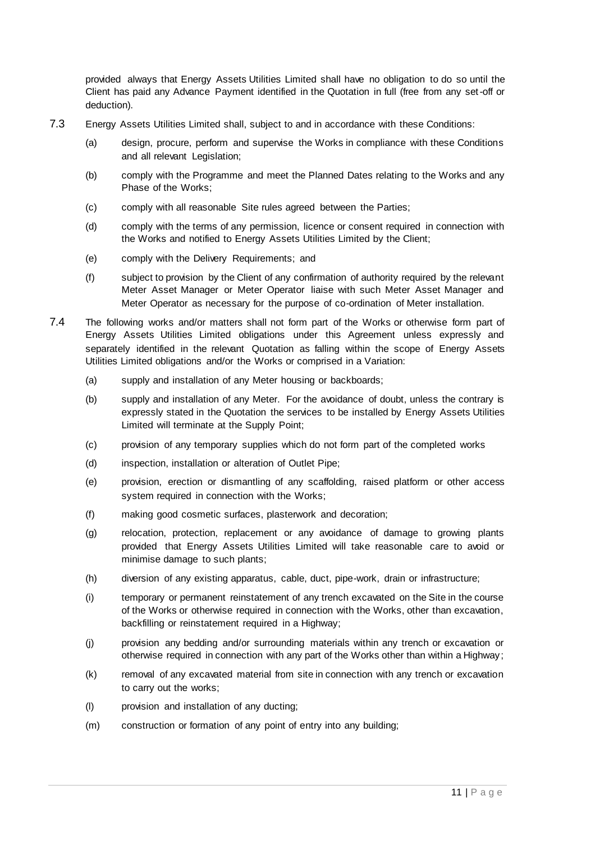provided always that Energy Assets Utilities Limited shall have no obligation to do so until the Client has paid any Advance Payment identified in the Quotation in full (free from any set-off or deduction).

- 7.3 Energy Assets Utilities Limited shall, subject to and in accordance with these Conditions:
	- (a) design, procure, perform and supervise the Works in compliance with these Conditions and all relevant Legislation;
	- (b) comply with the Programme and meet the Planned Dates relating to the Works and any Phase of the Works;
	- (c) comply with all reasonable Site rules agreed between the Parties;
	- (d) comply with the terms of any permission, licence or consent required in connection with the Works and notified to Energy Assets Utilities Limited by the Client;
	- (e) comply with the Delivery Requirements; and
	- (f) subject to provision by the Client of any confirmation of authority required by the relevant Meter Asset Manager or Meter Operator liaise with such Meter Asset Manager and Meter Operator as necessary for the purpose of co-ordination of Meter installation.
- 7.4 The following works and/or matters shall not form part of the Works or otherwise form part of Energy Assets Utilities Limited obligations under this Agreement unless expressly and separately identified in the relevant Quotation as falling within the scope of Energy Assets Utilities Limited obligations and/or the Works or comprised in a Variation:
	- (a) supply and installation of any Meter housing or backboards;
	- (b) supply and installation of any Meter. For the avoidance of doubt, unless the contrary is expressly stated in the Quotation the services to be installed by Energy Assets Utilities Limited will terminate at the Supply Point;
	- (c) provision of any temporary supplies which do not form part of the completed works
	- (d) inspection, installation or alteration of Outlet Pipe;
	- (e) provision, erection or dismantling of any scaffolding, raised platform or other access system required in connection with the Works;
	- (f) making good cosmetic surfaces, plasterwork and decoration;
	- (g) relocation, protection, replacement or any avoidance of damage to growing plants provided that Energy Assets Utilities Limited will take reasonable care to avoid or minimise damage to such plants;
	- (h) diversion of any existing apparatus, cable, duct, pipe-work, drain or infrastructure;
	- (i) temporary or permanent reinstatement of any trench excavated on the Site in the course of the Works or otherwise required in connection with the Works, other than excavation, backfilling or reinstatement required in a Highway;
	- (j) provision any bedding and/or surrounding materials within any trench or excavation or otherwise required in connection with any part of the Works other than within a Highway;
	- (k) removal of any excavated material from site in connection with any trench or excavation to carry out the works;
	- (l) provision and installation of any ducting;
	- (m) construction or formation of any point of entry into any building;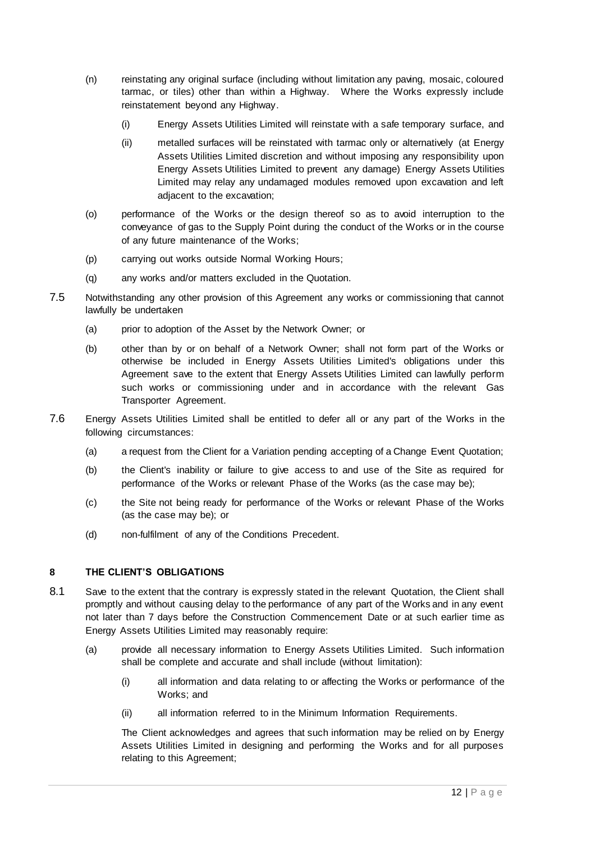- (n) reinstating any original surface (including without limitation any paving, mosaic, coloured tarmac, or tiles) other than within a Highway. Where the Works expressly include reinstatement beyond any Highway.
	- (i) Energy Assets Utilities Limited will reinstate with a safe temporary surface, and
	- (ii) metalled surfaces will be reinstated with tarmac only or alternatively (at Energy Assets Utilities Limited discretion and without imposing any responsibility upon Energy Assets Utilities Limited to prevent any damage) Energy Assets Utilities Limited may relay any undamaged modules removed upon excavation and left adjacent to the excavation;
- (o) performance of the Works or the design thereof so as to avoid interruption to the conveyance of gas to the Supply Point during the conduct of the Works or in the course of any future maintenance of the Works;
- (p) carrying out works outside Normal Working Hours;
- (q) any works and/or matters excluded in the Quotation.
- 7.5 Notwithstanding any other provision of this Agreement any works or commissioning that cannot lawfully be undertaken
	- (a) prior to adoption of the Asset by the Network Owner; or
	- (b) other than by or on behalf of a Network Owner; shall not form part of the Works or otherwise be included in Energy Assets Utilities Limited's obligations under this Agreement save to the extent that Energy Assets Utilities Limited can lawfully perform such works or commissioning under and in accordance with the relevant Gas Transporter Agreement.
- 7.6 Energy Assets Utilities Limited shall be entitled to defer all or any part of the Works in the following circumstances:
	- (a) a request from the Client for a Variation pending accepting of a Change Event Quotation;
	- (b) the Client's inability or failure to give access to and use of the Site as required for performance of the Works or relevant Phase of the Works (as the case may be);
	- (c) the Site not being ready for performance of the Works or relevant Phase of the Works (as the case may be); or
	- (d) non-fulfilment of any of the Conditions Precedent.

# <span id="page-11-2"></span><span id="page-11-0"></span>**8 THE CLIENT'S OBLIGATIONS**

- <span id="page-11-1"></span>8.1 Save to the extent that the contrary is expressly stated in the relevant Quotation, the Client shall promptly and without causing delay to the performance of any part of the Works and in any event not later than 7 days before the Construction Commencement Date or at such earlier time as Energy Assets Utilities Limited may reasonably require:
	- (a) provide all necessary information to Energy Assets Utilities Limited. Such information shall be complete and accurate and shall include (without limitation):
		- (i) all information and data relating to or affecting the Works or performance of the Works; and
		- (ii) all information referred to in the Minimum Information Requirements.

The Client acknowledges and agrees that such information may be relied on by Energy Assets Utilities Limited in designing and performing the Works and for all purposes relating to this Agreement;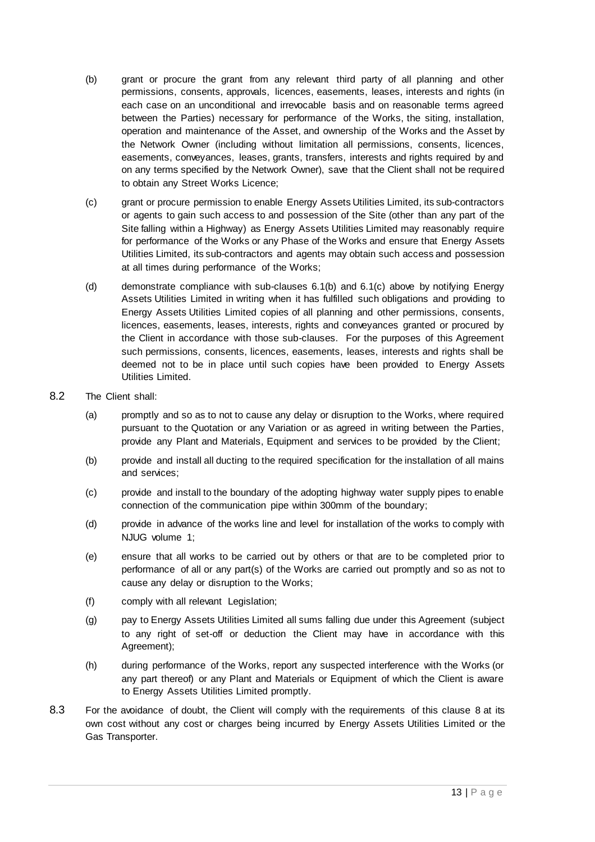- (b) grant or procure the grant from any relevant third party of all planning and other permissions, consents, approvals, licences, easements, leases, interests and rights (in each case on an unconditional and irrevocable basis and on reasonable terms agreed between the Parties) necessary for performance of the Works, the siting, installation, operation and maintenance of the Asset, and ownership of the Works and the Asset by the Network Owner (including without limitation all permissions, consents, licences, easements, conveyances, leases, grants, transfers, interests and rights required by and on any terms specified by the Network Owner), save that the Client shall not be required to obtain any Street Works Licence;
- (c) grant or procure permission to enable Energy Assets Utilities Limited, its sub-contractors or agents to gain such access to and possession of the Site (other than any part of the Site falling within a Highway) as Energy Assets Utilities Limited may reasonably require for performance of the Works or any Phase of the Works and ensure that Energy Assets Utilities Limited, its sub-contractors and agents may obtain such access and possession at all times during performance of the Works;
- (d) demonstrate compliance with sub-clauses [6.1\(b\)](#page-9-2) and [6.1\(c\)](#page-9-3) above by notifying Energy Assets Utilities Limited in writing when it has fulfilled such obligations and providing to Energy Assets Utilities Limited copies of all planning and other permissions, consents, licences, easements, leases, interests, rights and conveyances granted or procured by the Client in accordance with those sub-clauses. For the purposes of this Agreement such permissions, consents, licences, easements, leases, interests and rights shall be deemed not to be in place until such copies have been provided to Energy Assets Utilities Limited.
- 8.2 The Client shall:
	- (a) promptly and so as to not to cause any delay or disruption to the Works, where required pursuant to the Quotation or any Variation or as agreed in writing between the Parties, provide any Plant and Materials, Equipment and services to be provided by the Client;
	- (b) provide and install all ducting to the required specification for the installation of all mains and services;
	- (c) provide and install to the boundary of the adopting highway water supply pipes to enable connection of the communication pipe within 300mm of the boundary;
	- (d) provide in advance of the works line and level for installation of the works to comply with NJUG volume 1;
	- (e) ensure that all works to be carried out by others or that are to be completed prior to performance of all or any part(s) of the Works are carried out promptly and so as not to cause any delay or disruption to the Works;
	- (f) comply with all relevant Legislation;
	- (g) pay to Energy Assets Utilities Limited all sums falling due under this Agreement (subject to any right of set-off or deduction the Client may have in accordance with this Agreement);
	- (h) during performance of the Works, report any suspected interference with the Works (or any part thereof) or any Plant and Materials or Equipment of which the Client is aware to Energy Assets Utilities Limited promptly.
- 8.3 For the avoidance of doubt, the Client will comply with the requirements of this clause [8](#page-11-2) at its own cost without any cost or charges being incurred by Energy Assets Utilities Limited or the Gas Transporter.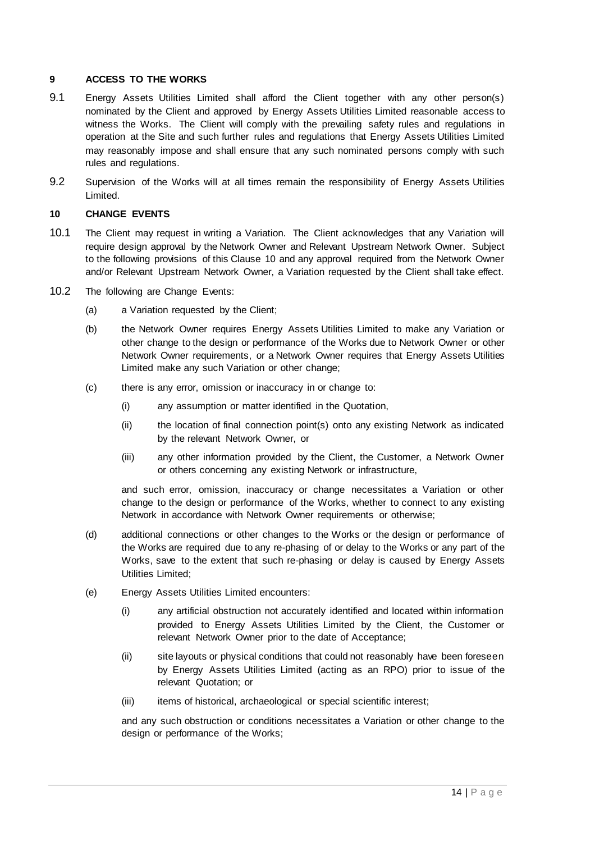#### <span id="page-13-0"></span>**9 ACCESS TO THE WORKS**

- 9.1 Energy Assets Utilities Limited shall afford the Client together with any other person(s) nominated by the Client and approved by Energy Assets Utilities Limited reasonable access to witness the Works. The Client will comply with the prevailing safety rules and regulations in operation at the Site and such further rules and regulations that Energy Assets Utilities Limited may reasonably impose and shall ensure that any such nominated persons comply with such rules and regulations.
- 9.2 Supervision of the Works will at all times remain the responsibility of Energy Assets Utilities Limited.

#### <span id="page-13-2"></span><span id="page-13-1"></span>**10 CHANGE EVENTS**

- 10.1 The Client may request in writing a Variation. The Client acknowledges that any Variation will require design approval by the Network Owner and Relevant Upstream Network Owner. Subject to the following provisions of this Clause [10](#page-13-2) and any approval required from the Network Owner and/or Relevant Upstream Network Owner, a Variation requested by the Client shall take effect.
- 10.2 The following are Change Events:
	- (a) a Variation requested by the Client;
	- (b) the Network Owner requires Energy Assets Utilities Limited to make any Variation or other change to the design or performance of the Works due to Network Owner or other Network Owner requirements, or a Network Owner requires that Energy Assets Utilities Limited make any such Variation or other change;
	- (c) there is any error, omission or inaccuracy in or change to:
		- (i) any assumption or matter identified in the Quotation,
		- (ii) the location of final connection point(s) onto any existing Network as indicated by the relevant Network Owner, or
		- (iii) any other information provided by the Client, the Customer, a Network Owner or others concerning any existing Network or infrastructure,

and such error, omission, inaccuracy or change necessitates a Variation or other change to the design or performance of the Works, whether to connect to any existing Network in accordance with Network Owner requirements or otherwise;

- (d) additional connections or other changes to the Works or the design or performance of the Works are required due to any re-phasing of or delay to the Works or any part of the Works, save to the extent that such re-phasing or delay is caused by Energy Assets Utilities Limited;
- (e) Energy Assets Utilities Limited encounters:
	- (i) any artificial obstruction not accurately identified and located within information provided to Energy Assets Utilities Limited by the Client, the Customer or relevant Network Owner prior to the date of Acceptance;
	- (ii) site layouts or physical conditions that could not reasonably have been foreseen by Energy Assets Utilities Limited (acting as an RPO) prior to issue of the relevant Quotation; or
	- (iii) items of historical, archaeological or special scientific interest;

and any such obstruction or conditions necessitates a Variation or other change to the design or performance of the Works;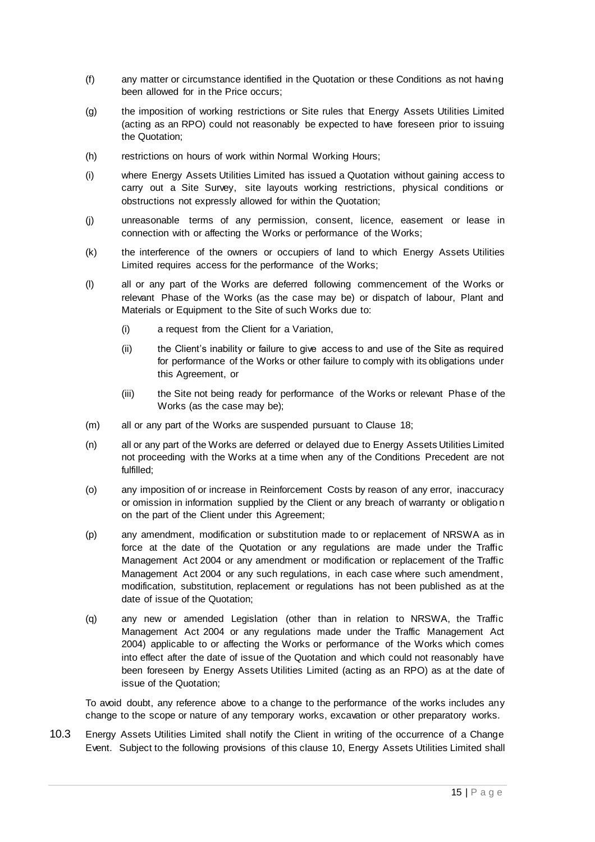- (f) any matter or circumstance identified in the Quotation or these Conditions as not having been allowed for in the Price occurs;
- (g) the imposition of working restrictions or Site rules that Energy Assets Utilities Limited (acting as an RPO) could not reasonably be expected to have foreseen prior to issuing the Quotation;
- (h) restrictions on hours of work within Normal Working Hours;
- (i) where Energy Assets Utilities Limited has issued a Quotation without gaining access to carry out a Site Survey, site layouts working restrictions, physical conditions or obstructions not expressly allowed for within the Quotation;
- (j) unreasonable terms of any permission, consent, licence, easement or lease in connection with or affecting the Works or performance of the Works;
- (k) the interference of the owners or occupiers of land to which Energy Assets Utilities Limited requires access for the performance of the Works;
- (l) all or any part of the Works are deferred following commencement of the Works or relevant Phase of the Works (as the case may be) or dispatch of labour, Plant and Materials or Equipment to the Site of such Works due to:
	- (i) a request from the Client for a Variation,
	- (ii) the Client's inability or failure to give access to and use of the Site as required for performance of the Works or other failure to comply with its obligations under this Agreement, or
	- (iii) the Site not being ready for performance of the Works or relevant Phase of the Works (as the case may be);
- (m) all or any part of the Works are suspended pursuant to Clause [18;](#page-19-2)
- (n) all or any part of the Works are deferred or delayed due to Energy Assets Utilities Limited not proceeding with the Works at a time when any of the Conditions Precedent are not fulfilled;
- (o) any imposition of or increase in Reinforcement Costs by reason of any error, inaccuracy or omission in information supplied by the Client or any breach of warranty or obligatio n on the part of the Client under this Agreement;
- (p) any amendment, modification or substitution made to or replacement of NRSWA as in force at the date of the Quotation or any regulations are made under the Traffic Management Act 2004 or any amendment or modification or replacement of the Traffic Management Act 2004 or any such regulations, in each case where such amendment, modification, substitution, replacement or regulations has not been published as at the date of issue of the Quotation;
- (q) any new or amended Legislation (other than in relation to NRSWA, the Traffic Management Act 2004 or any regulations made under the Traffic Management Act 2004) applicable to or affecting the Works or performance of the Works which comes into effect after the date of issue of the Quotation and which could not reasonably have been foreseen by Energy Assets Utilities Limited (acting as an RPO) as at the date of issue of the Quotation;

To avoid doubt, any reference above to a change to the performance of the works includes any change to the scope or nature of any temporary works, excavation or other preparatory works.

10.3 Energy Assets Utilities Limited shall notify the Client in writing of the occurrence of a Change Event. Subject to the following provisions of this clause [10,](#page-13-2) Energy Assets Utilities Limited shall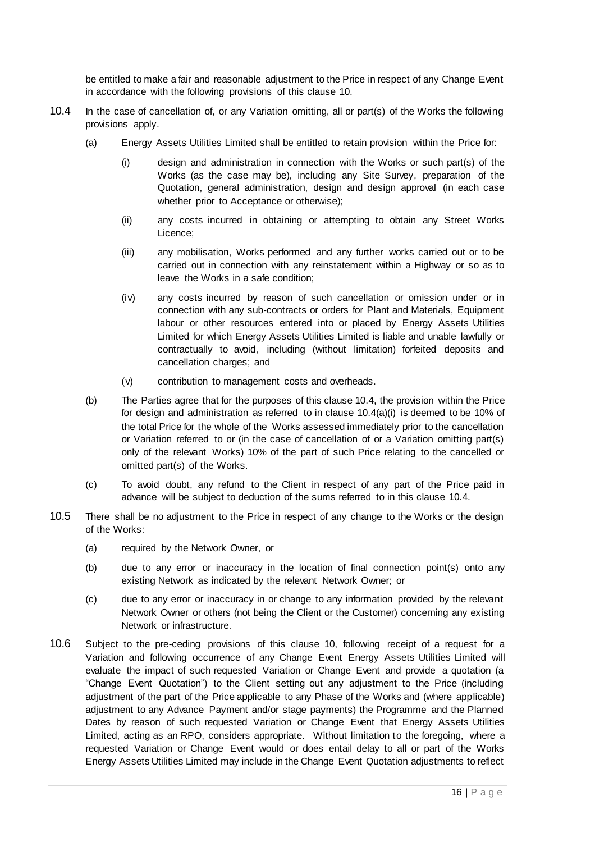be entitled to make a fair and reasonable adjustment to the Price in respect of any Change Event in accordance with the following provisions of this clause [10.](#page-13-2)

- <span id="page-15-3"></span><span id="page-15-2"></span><span id="page-15-1"></span><span id="page-15-0"></span>10.4 In the case of cancellation of, or any Variation omitting, all or part(s) of the Works the following provisions apply.
	- (a) Energy Assets Utilities Limited shall be entitled to retain provision within the Price for:
		- (i) design and administration in connection with the Works or such part(s) of the Works (as the case may be), including any Site Survey, preparation of the Quotation, general administration, design and design approval (in each case whether prior to Acceptance or otherwise);
		- (ii) any costs incurred in obtaining or attempting to obtain any Street Works Licence;
		- (iii) any mobilisation, Works performed and any further works carried out or to be carried out in connection with any reinstatement within a Highway or so as to leave the Works in a safe condition;
		- (iv) any costs incurred by reason of such cancellation or omission under or in connection with any sub-contracts or orders for Plant and Materials, Equipment labour or other resources entered into or placed by Energy Assets Utilities Limited for which Energy Assets Utilities Limited is liable and unable lawfully or contractually to avoid, including (without limitation) forfeited deposits and cancellation charges; and
		- (v) contribution to management costs and overheads.
	- (b) The Parties agree that for the purposes of this clause [10.4,](#page-15-0) the provision within the Price for design and administration as referred to in clause [10.4](#page-15-0)[\(a\)\(i\)](#page-15-1) is deemed to be 10% of the total Price for the whole of the Works assessed immediately prior to the cancellation or Variation referred to or (in the case of cancellation of or a Variation omitting part(s) only of the relevant Works) 10% of the part of such Price relating to the cancelled or omitted part(s) of the Works.
	- (c) To avoid doubt, any refund to the Client in respect of any part of the Price paid in advance will be subject to deduction of the sums referred to in this clause [10.4.](#page-15-0)
- <span id="page-15-4"></span>10.5 There shall be no adjustment to the Price in respect of any change to the Works or the design of the Works:
	- (a) required by the Network Owner, or
	- (b) due to any error or inaccuracy in the location of final connection point(s) onto any existing Network as indicated by the relevant Network Owner; or
	- (c) due to any error or inaccuracy in or change to any information provided by the relevant Network Owner or others (not being the Client or the Customer) concerning any existing Network or infrastructure.
- 10.6 Subject to the pre-ceding provisions of this clause [10,](#page-13-2) following receipt of a request for a Variation and following occurrence of any Change Event Energy Assets Utilities Limited will evaluate the impact of such requested Variation or Change Event and provide a quotation (a "Change Event Quotation") to the Client setting out any adjustment to the Price (including adjustment of the part of the Price applicable to any Phase of the Works and (where applicable) adjustment to any Advance Payment and/or stage payments) the Programme and the Planned Dates by reason of such requested Variation or Change Event that Energy Assets Utilities Limited, acting as an RPO, considers appropriate. Without limitation to the foregoing, where a requested Variation or Change Event would or does entail delay to all or part of the Works Energy Assets Utilities Limited may include in the Change Event Quotation adjustments to reflect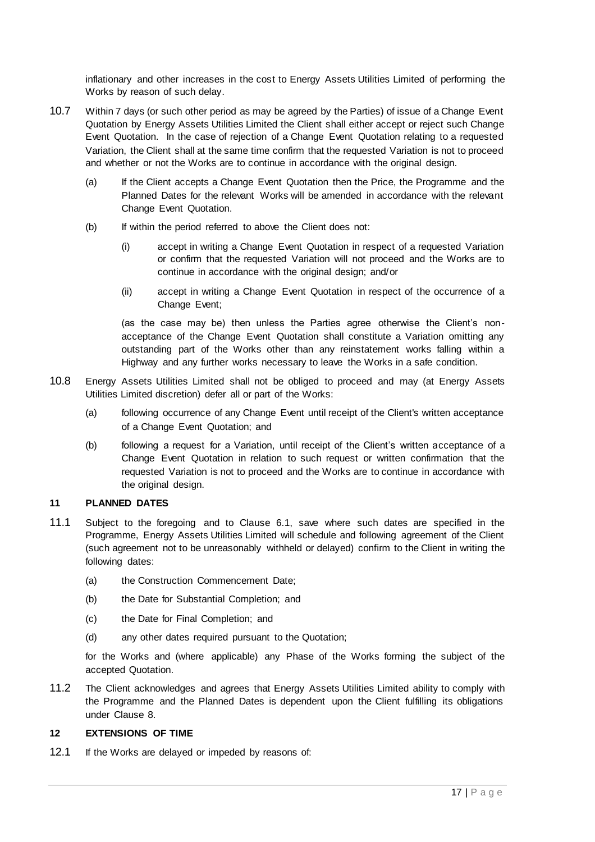inflationary and other increases in the cost to Energy Assets Utilities Limited of performing the Works by reason of such delay.

- 10.7 Within 7 days (or such other period as may be agreed by the Parties) of issue of a Change Event Quotation by Energy Assets Utilities Limited the Client shall either accept or reject such Change Event Quotation. In the case of rejection of a Change Event Quotation relating to a requested Variation, the Client shall at the same time confirm that the requested Variation is not to proceed and whether or not the Works are to continue in accordance with the original design.
	- (a) If the Client accepts a Change Event Quotation then the Price, the Programme and the Planned Dates for the relevant Works will be amended in accordance with the relevant Change Event Quotation.
	- (b) If within the period referred to above the Client does not:
		- (i) accept in writing a Change Event Quotation in respect of a requested Variation or confirm that the requested Variation will not proceed and the Works are to continue in accordance with the original design; and/or
		- (ii) accept in writing a Change Event Quotation in respect of the occurrence of a Change Event;

(as the case may be) then unless the Parties agree otherwise the Client's nonacceptance of the Change Event Quotation shall constitute a Variation omitting any outstanding part of the Works other than any reinstatement works falling within a Highway and any further works necessary to leave the Works in a safe condition.

- 10.8 Energy Assets Utilities Limited shall not be obliged to proceed and may (at Energy Assets Utilities Limited discretion) defer all or part of the Works:
	- (a) following occurrence of any Change Event until receipt of the Client's written acceptance of a Change Event Quotation; and
	- (b) following a request for a Variation, until receipt of the Client's written acceptance of a Change Event Quotation in relation to such request or written confirmation that the requested Variation is not to proceed and the Works are to continue in accordance with the original design.

### <span id="page-16-0"></span>**11 PLANNED DATES**

- <span id="page-16-2"></span>11.1 Subject to the foregoing and to Clause [6.1,](#page-8-6) save where such dates are specified in the Programme, Energy Assets Utilities Limited will schedule and following agreement of the Client (such agreement not to be unreasonably withheld or delayed) confirm to the Client in writing the following dates:
	- (a) the Construction Commencement Date;
	- (b) the Date for Substantial Completion; and
	- (c) the Date for Final Completion; and
	- (d) any other dates required pursuant to the Quotation;

for the Works and (where applicable) any Phase of the Works forming the subject of the accepted Quotation.

11.2 The Client acknowledges and agrees that Energy Assets Utilities Limited ability to comply with the Programme and the Planned Dates is dependent upon the Client fulfilling its obligations under Clause [8.](#page-11-2)

### <span id="page-16-1"></span>**12 EXTENSIONS OF TIME**

12.1 If the Works are delayed or impeded by reasons of: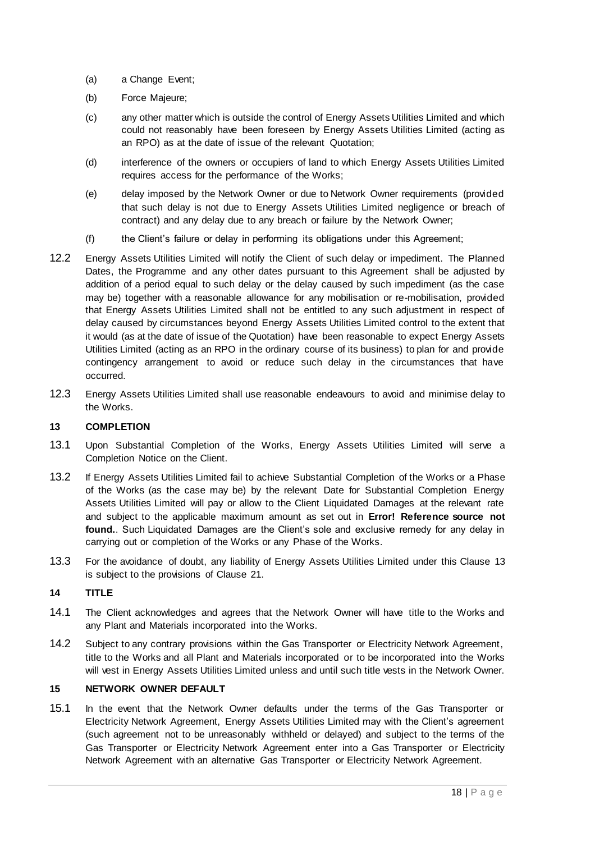- (a) a Change Event;
- (b) Force Majeure;
- (c) any other matter which is outside the control of Energy Assets Utilities Limited and which could not reasonably have been foreseen by Energy Assets Utilities Limited (acting as an RPO) as at the date of issue of the relevant Quotation;
- (d) interference of the owners or occupiers of land to which Energy Assets Utilities Limited requires access for the performance of the Works;
- (e) delay imposed by the Network Owner or due to Network Owner requirements (provided that such delay is not due to Energy Assets Utilities Limited negligence or breach of contract) and any delay due to any breach or failure by the Network Owner;
- (f) the Client's failure or delay in performing its obligations under this Agreement;
- 12.2 Energy Assets Utilities Limited will notify the Client of such delay or impediment. The Planned Dates, the Programme and any other dates pursuant to this Agreement shall be adjusted by addition of a period equal to such delay or the delay caused by such impediment (as the case may be) together with a reasonable allowance for any mobilisation or re-mobilisation, provided that Energy Assets Utilities Limited shall not be entitled to any such adjustment in respect of delay caused by circumstances beyond Energy Assets Utilities Limited control to the extent that it would (as at the date of issue of the Quotation) have been reasonable to expect Energy Assets Utilities Limited (acting as an RPO in the ordinary course of its business) to plan for and provide contingency arrangement to avoid or reduce such delay in the circumstances that have occurred.
- 12.3 Energy Assets Utilities Limited shall use reasonable endeavours to avoid and minimise delay to the Works.

# <span id="page-17-4"></span><span id="page-17-0"></span>**13 COMPLETION**

- 13.1 Upon Substantial Completion of the Works, Energy Assets Utilities Limited will serve a Completion Notice on the Client.
- <span id="page-17-3"></span>13.2 If Energy Assets Utilities Limited fail to achieve Substantial Completion of the Works or a Phase of the Works (as the case may be) by the relevant Date for Substantial Completion Energy Assets Utilities Limited will pay or allow to the Client Liquidated Damages at the relevant rate and subject to the applicable maximum amount as set out in **Error! Reference source not found.**. Such Liquidated Damages are the Client's sole and exclusive remedy for any delay in carrying out or completion of the Works or any Phase of the Works.
- 13.3 For the avoidance of doubt, any liability of Energy Assets Utilities Limited under this Clause [13](#page-17-4) is subject to the provisions of Clause [21.](#page-21-3)

### <span id="page-17-1"></span>**14 TITLE**

- 14.1 The Client acknowledges and agrees that the Network Owner will have title to the Works and any Plant and Materials incorporated into the Works.
- 14.2 Subject to any contrary provisions within the Gas Transporter or Electricity Network Agreement, title to the Works and all Plant and Materials incorporated or to be incorporated into the Works will vest in Energy Assets Utilities Limited unless and until such title vests in the Network Owner.

# <span id="page-17-2"></span>**15 NETWORK OWNER DEFAULT**

15.1 In the event that the Network Owner defaults under the terms of the Gas Transporter or Electricity Network Agreement, Energy Assets Utilities Limited may with the Client's agreement (such agreement not to be unreasonably withheld or delayed) and subject to the terms of the Gas Transporter or Electricity Network Agreement enter into a Gas Transporter or Electricity Network Agreement with an alternative Gas Transporter or Electricity Network Agreement.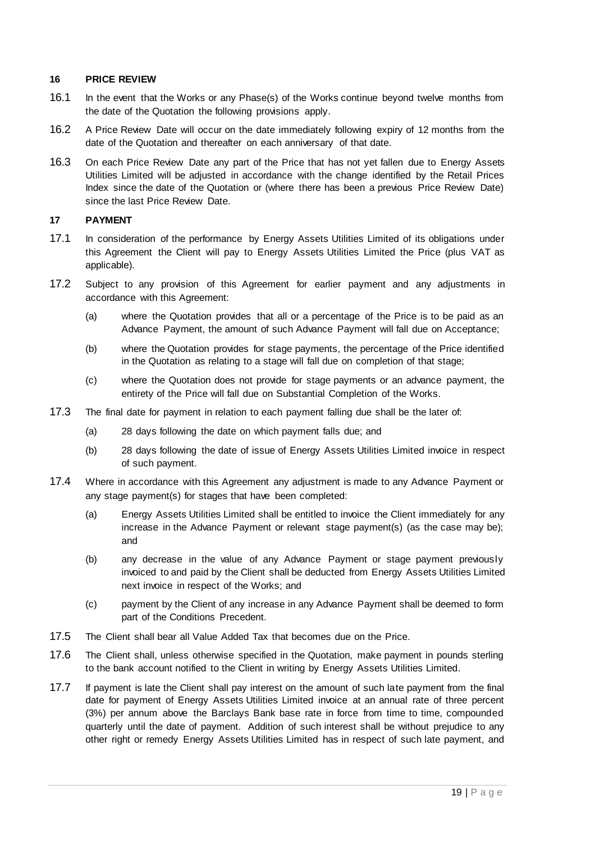#### <span id="page-18-0"></span>**16 PRICE REVIEW**

- <span id="page-18-2"></span>16.1 In the event that the Works or any Phase(s) of the Works continue beyond twelve months from the date of the Quotation the following provisions apply.
- 16.2 A Price Review Date will occur on the date immediately following expiry of 12 months from the date of the Quotation and thereafter on each anniversary of that date.
- 16.3 On each Price Review Date any part of the Price that has not yet fallen due to Energy Assets Utilities Limited will be adjusted in accordance with the change identified by the Retail Prices Index since the date of the Quotation or (where there has been a previous Price Review Date) since the last Price Review Date.

### <span id="page-18-3"></span><span id="page-18-1"></span>**17 PAYMENT**

- 17.1 In consideration of the performance by Energy Assets Utilities Limited of its obligations under this Agreement the Client will pay to Energy Assets Utilities Limited the Price (plus VAT as applicable).
- 17.2 Subject to any provision of this Agreement for earlier payment and any adjustments in accordance with this Agreement:
	- (a) where the Quotation provides that all or a percentage of the Price is to be paid as an Advance Payment, the amount of such Advance Payment will fall due on Acceptance;
	- (b) where the Quotation provides for stage payments, the percentage of the Price identified in the Quotation as relating to a stage will fall due on completion of that stage;
	- (c) where the Quotation does not provide for stage payments or an advance payment, the entirety of the Price will fall due on Substantial Completion of the Works.
- 17.3 The final date for payment in relation to each payment falling due shall be the later of:
	- (a) 28 days following the date on which payment falls due; and
	- (b) 28 days following the date of issue of Energy Assets Utilities Limited invoice in respect of such payment.
- 17.4 Where in accordance with this Agreement any adjustment is made to any Advance Payment or any stage payment(s) for stages that have been completed:
	- (a) Energy Assets Utilities Limited shall be entitled to invoice the Client immediately for any increase in the Advance Payment or relevant stage payment(s) (as the case may be); and
	- (b) any decrease in the value of any Advance Payment or stage payment previously invoiced to and paid by the Client shall be deducted from Energy Assets Utilities Limited next invoice in respect of the Works; and
	- (c) payment by the Client of any increase in any Advance Payment shall be deemed to form part of the Conditions Precedent.
- 17.5 The Client shall bear all Value Added Tax that becomes due on the Price.
- 17.6 The Client shall, unless otherwise specified in the Quotation, make payment in pounds sterling to the bank account notified to the Client in writing by Energy Assets Utilities Limited.
- 17.7 If payment is late the Client shall pay interest on the amount of such late payment from the final date for payment of Energy Assets Utilities Limited invoice at an annual rate of three percent (3%) per annum above the Barclays Bank base rate in force from time to time, compounded quarterly until the date of payment. Addition of such interest shall be without prejudice to any other right or remedy Energy Assets Utilities Limited has in respect of such late payment, and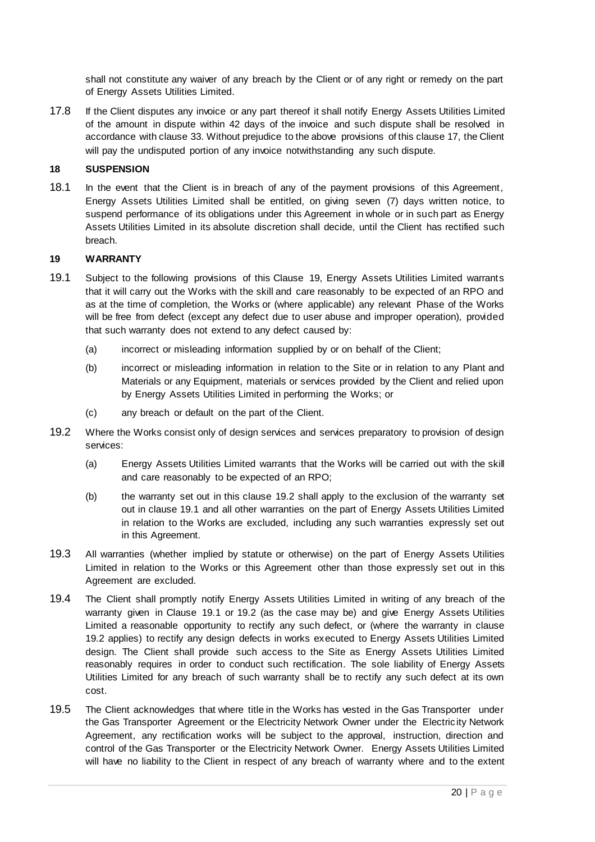shall not constitute any waiver of any breach by the Client or of any right or remedy on the part of Energy Assets Utilities Limited.

17.8 If the Client disputes any invoice or any part thereof it shall notify Energy Assets Utilities Limited of the amount in dispute within 42 days of the invoice and such dispute shall be resolved in accordance with clause [33.](#page-27-1) Without prejudice to the above provisions of this clause [17,](#page-18-3) the Client will pay the undisputed portion of any invoice notwithstanding any such dispute.

# <span id="page-19-2"></span><span id="page-19-0"></span>**18 SUSPENSION**

18.1 In the event that the Client is in breach of any of the payment provisions of this Agreement, Energy Assets Utilities Limited shall be entitled, on giving seven (7) days written notice, to suspend performance of its obligations under this Agreement in whole or in such part as Energy Assets Utilities Limited in its absolute discretion shall decide, until the Client has rectified such breach.

# <span id="page-19-3"></span><span id="page-19-1"></span>**19 WARRANTY**

- <span id="page-19-5"></span>19.1 Subject to the following provisions of this Clause [19,](#page-19-3) Energy Assets Utilities Limited warrants that it will carry out the Works with the skill and care reasonably to be expected of an RPO and as at the time of completion, the Works or (where applicable) any relevant Phase of the Works will be free from defect (except any defect due to user abuse and improper operation), provided that such warranty does not extend to any defect caused by:
	- (a) incorrect or misleading information supplied by or on behalf of the Client;
	- (b) incorrect or misleading information in relation to the Site or in relation to any Plant and Materials or any Equipment, materials or services provided by the Client and relied upon by Energy Assets Utilities Limited in performing the Works; or
	- (c) any breach or default on the part of the Client.
- <span id="page-19-4"></span>19.2 Where the Works consist only of design services and services preparatory to provision of design services:
	- (a) Energy Assets Utilities Limited warrants that the Works will be carried out with the skill and care reasonably to be expected of an RPO;
	- (b) the warranty set out in this clause [19.2](#page-19-4) shall apply to the exclusion of the warranty set out in clause [19.1](#page-19-5) and all other warranties on the part of Energy Assets Utilities Limited in relation to the Works are excluded, including any such warranties expressly set out in this Agreement.
- 19.3 All warranties (whether implied by statute or otherwise) on the part of Energy Assets Utilities Limited in relation to the Works or this Agreement other than those expressly set out in this Agreement are excluded.
- <span id="page-19-6"></span>19.4 The Client shall promptly notify Energy Assets Utilities Limited in writing of any breach of the warranty given in Clause [19.1](#page-19-5) or [19.2](#page-19-4) (as the case may be) and give Energy Assets Utilities Limited a reasonable opportunity to rectify any such defect, or (where the warranty in clause [19.2](#page-19-4) applies) to rectify any design defects in works executed to Energy Assets Utilities Limited design. The Client shall provide such access to the Site as Energy Assets Utilities Limited reasonably requires in order to conduct such rectification. The sole liability of Energy Assets Utilities Limited for any breach of such warranty shall be to rectify any such defect at its own cost.
- 19.5 The Client acknowledges that where title in the Works has vested in the Gas Transporter under the Gas Transporter Agreement or the Electricity Network Owner under the Electricity Network Agreement, any rectification works will be subject to the approval, instruction, direction and control of the Gas Transporter or the Electricity Network Owner. Energy Assets Utilities Limited will have no liability to the Client in respect of any breach of warranty where and to the extent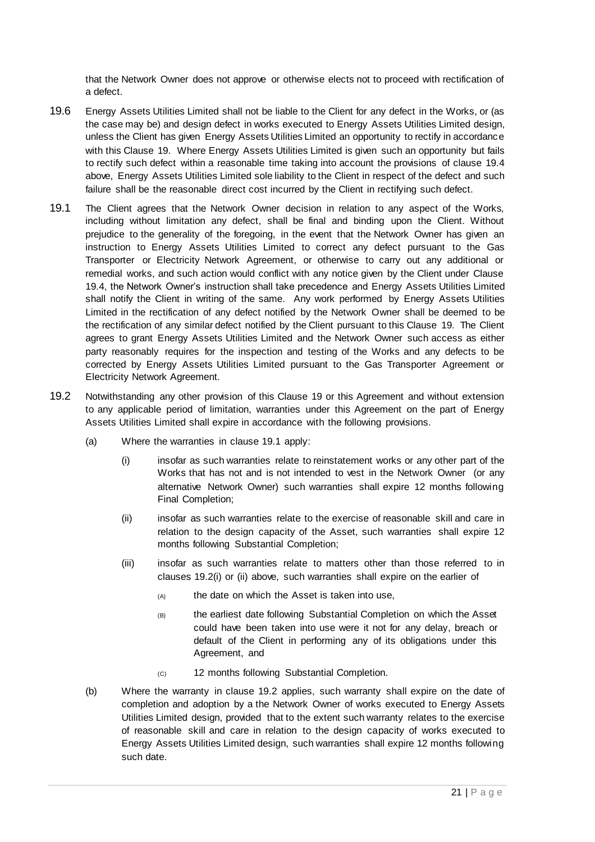that the Network Owner does not approve or otherwise elects not to proceed with rectification of a defect.

- 19.6 Energy Assets Utilities Limited shall not be liable to the Client for any defect in the Works, or (as the case may be) and design defect in works executed to Energy Assets Utilities Limited design, unless the Client has given Energy Assets Utilities Limited an opportunity to rectify in accordance with this Clause [19.](#page-19-3) Where Energy Assets Utilities Limited is given such an opportunity but fails to rectify such defect within a reasonable time taking into account the provisions of clause [19.4](#page-19-6) above, Energy Assets Utilities Limited sole liability to the Client in respect of the defect and such failure shall be the reasonable direct cost incurred by the Client in rectifying such defect.
- 19.1 The Client agrees that the Network Owner decision in relation to any aspect of the Works, including without limitation any defect, shall be final and binding upon the Client. Without prejudice to the generality of the foregoing, in the event that the Network Owner has given an instruction to Energy Assets Utilities Limited to correct any defect pursuant to the Gas Transporter or Electricity Network Agreement, or otherwise to carry out any additional or remedial works, and such action would conflict with any notice given by the Client under Clause [19.4,](#page-19-6) the Network Owner's instruction shall take precedence and Energy Assets Utilities Limited shall notify the Client in writing of the same. Any work performed by Energy Assets Utilities Limited in the rectification of any defect notified by the Network Owner shall be deemed to be the rectification of any similar defect notified by the Client pursuant to this Clause [19.](#page-19-3) The Client agrees to grant Energy Assets Utilities Limited and the Network Owner such access as either party reasonably requires for the inspection and testing of the Works and any defects to be corrected by Energy Assets Utilities Limited pursuant to the Gas Transporter Agreement or Electricity Network Agreement.
- <span id="page-20-2"></span><span id="page-20-1"></span><span id="page-20-0"></span>19.2 Notwithstanding any other provision of this Clause [19](#page-19-3) or this Agreement and without extension to any applicable period of limitation, warranties under this Agreement on the part of Energy Assets Utilities Limited shall expire in accordance with the following provisions.
	- (a) Where the warranties in clause [19.1](#page-19-5) apply:
		- (i) insofar as such warranties relate to reinstatement works or any other part of the Works that has not and is not intended to vest in the Network Owner (or any alternative Network Owner) such warranties shall expire 12 months following Final Completion;
		- (ii) insofar as such warranties relate to the exercise of reasonable skill and care in relation to the design capacity of the Asset, such warranties shall expire 12 months following Substantial Completion;
		- (iii) insofar as such warranties relate to matters other than those referred to in clauses [19.2](#page-20-0)[\(i\)](#page-20-1) or [\(ii\)](#page-20-2) above, such warranties shall expire on the earlier of
			- (A) the date on which the Asset is taken into use,
			- (B) the earliest date following Substantial Completion on which the Asset could have been taken into use were it not for any delay, breach or default of the Client in performing any of its obligations under this Agreement, and
			- (C) 12 months following Substantial Completion.
	- (b) Where the warranty in clause [19.2](#page-19-4) applies, such warranty shall expire on the date of completion and adoption by a the Network Owner of works executed to Energy Assets Utilities Limited design, provided that to the extent such warranty relates to the exercise of reasonable skill and care in relation to the design capacity of works executed to Energy Assets Utilities Limited design, such warranties shall expire 12 months following such date.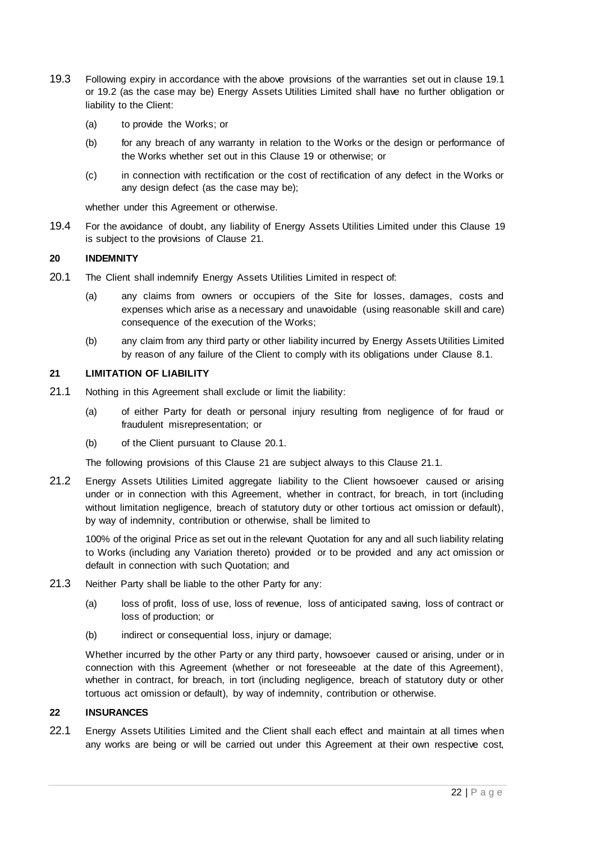- 19.3 Following expiry in accordance with the above provisions of the warranties set out in clause [19.1](#page-19-5) or [19.2](#page-19-4) (as the case may be) Energy Assets Utilities Limited shall have no further obligation or liability to the Client:
	- (a) to provide the Works; or
	- (b) for any breach of any warranty in relation to the Works or the design or performance of the Works whether set out in this Clause [19](#page-19-3) or otherwise; or
	- (c) in connection with rectification or the cost of rectification of any defect in the Works or any design defect (as the case may be);

whether under this Agreement or otherwise.

19.4 For the avoidance of doubt, any liability of Energy Assets Utilities Limited under this Clause [19](#page-19-3) is subject to the provisions of Clause [21.](#page-21-3)

#### <span id="page-21-0"></span>**20 INDEMNITY**

- <span id="page-21-4"></span>20.1 The Client shall indemnify Energy Assets Utilities Limited in respect of:
	- (a) any claims from owners or occupiers of the Site for losses, damages, costs and expenses which arise as a necessary and unavoidable (using reasonable skill and care) consequence of the execution of the Works;
	- (b) any claim from any third party or other liability incurred by Energy Assets Utilities Limited by reason of any failure of the Client to comply with its obligations under Clause [8.1.](#page-11-1)

#### <span id="page-21-3"></span><span id="page-21-1"></span>**21 LIMITATION OF LIABILITY**

- <span id="page-21-5"></span>21.1 Nothing in this Agreement shall exclude or limit the liability:
	- (a) of either Party for death or personal injury resulting from negligence of for fraud or fraudulent misrepresentation; or
	- (b) of the Client pursuant to Clause [20.1.](#page-21-4)

The following provisions of this Clause [21](#page-21-3) are subject always to this Clause [21.1.](#page-21-5)

21.2 Energy Assets Utilities Limited aggregate liability to the Client howsoever caused or arising under or in connection with this Agreement, whether in contract, for breach, in tort (including without limitation negligence, breach of statutory duty or other tortious act omission or default), by way of indemnity, contribution or otherwise, shall be limited to

100% of the original Price as set out in the relevant Quotation for any and all such liability relating to Works (including any Variation thereto) provided or to be provided and any act omission or default in connection with such Quotation; and

- 21.3 Neither Party shall be liable to the other Party for any:
	- (a) loss of profit, loss of use, loss of revenue, loss of anticipated saving, loss of contract or loss of production; or
	- (b) indirect or consequential loss, injury or damage;

Whether incurred by the other Party or any third party, howsoever caused or arising, under or in connection with this Agreement (whether or not foreseeable at the date of this Agreement), whether in contract, for breach, in tort (including negligence, breach of statutory duty or other tortuous act omission or default), by way of indemnity, contribution or otherwise.

#### <span id="page-21-2"></span>**22 INSURANCES**

22.1 Energy Assets Utilities Limited and the Client shall each effect and maintain at all times when any works are being or will be carried out under this Agreement at their own respective cost,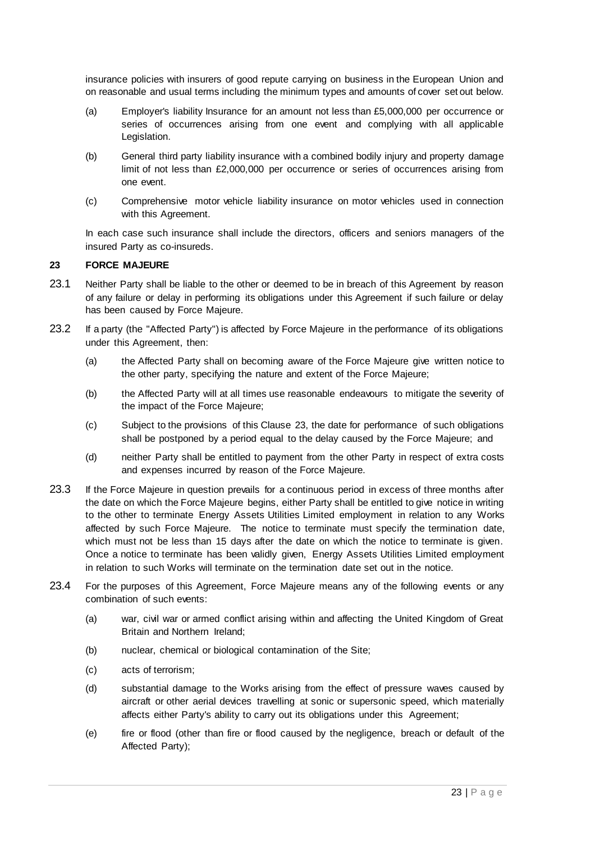insurance policies with insurers of good repute carrying on business in the European Union and on reasonable and usual terms including the minimum types and amounts of cover set out below.

- (a) Employer's liability Insurance for an amount not less than £5,000,000 per occurrence or series of occurrences arising from one event and complying with all applicable Legislation.
- (b) General third party liability insurance with a combined bodily injury and property damage limit of not less than £2,000,000 per occurrence or series of occurrences arising from one event.
- (c) Comprehensive motor vehicle liability insurance on motor vehicles used in connection with this Agreement.

In each case such insurance shall include the directors, officers and seniors managers of the insured Party as co-insureds.

### <span id="page-22-2"></span><span id="page-22-0"></span>**23 FORCE MAJEURE**

- 23.1 Neither Party shall be liable to the other or deemed to be in breach of this Agreement by reason of any failure or delay in performing its obligations under this Agreement if such failure or delay has been caused by Force Majeure.
- <span id="page-22-1"></span>23.2 If a party (the "Affected Party") is affected by Force Majeure in the performance of its obligations under this Agreement, then:
	- (a) the Affected Party shall on becoming aware of the Force Majeure give written notice to the other party, specifying the nature and extent of the Force Majeure;
	- (b) the Affected Party will at all times use reasonable endeavours to mitigate the severity of the impact of the Force Majeure;
	- (c) Subject to the provisions of this Clause [23,](#page-22-2) the date for performance of such obligations shall be postponed by a period equal to the delay caused by the Force Majeure; and
	- (d) neither Party shall be entitled to payment from the other Party in respect of extra costs and expenses incurred by reason of the Force Majeure.
- 23.3 If the Force Majeure in question prevails for a continuous period in excess of three months after the date on which the Force Majeure begins, either Party shall be entitled to give notice in writing to the other to terminate Energy Assets Utilities Limited employment in relation to any Works affected by such Force Majeure. The notice to terminate must specify the termination date, which must not be less than 15 days after the date on which the notice to terminate is given. Once a notice to terminate has been validly given, Energy Assets Utilities Limited employment in relation to such Works will terminate on the termination date set out in the notice.
- 23.4 For the purposes of this Agreement, Force Majeure means any of the following events or any combination of such events:
	- (a) war, civil war or armed conflict arising within and affecting the United Kingdom of Great Britain and Northern Ireland;
	- (b) nuclear, chemical or biological contamination of the Site;
	- (c) acts of terrorism;
	- (d) substantial damage to the Works arising from the effect of pressure waves caused by aircraft or other aerial devices travelling at sonic or supersonic speed, which materially affects either Party's ability to carry out its obligations under this Agreement;
	- (e) fire or flood (other than fire or flood caused by the negligence, breach or default of the Affected Party);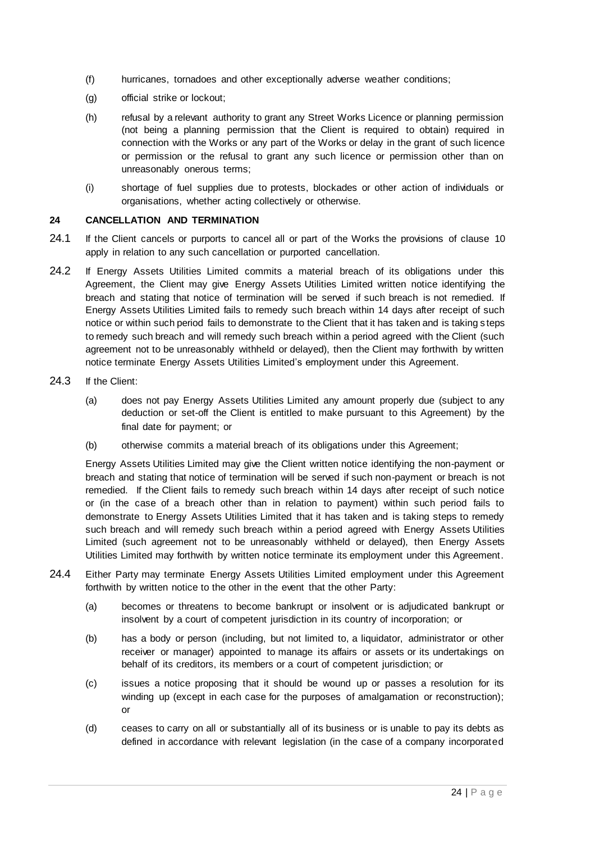- (f) hurricanes, tornadoes and other exceptionally adverse weather conditions;
- (g) official strike or lockout;
- (h) refusal by a relevant authority to grant any Street Works Licence or planning permission (not being a planning permission that the Client is required to obtain) required in connection with the Works or any part of the Works or delay in the grant of such licence or permission or the refusal to grant any such licence or permission other than on unreasonably onerous terms;
- (i) shortage of fuel supplies due to protests, blockades or other action of individuals or organisations, whether acting collectively or otherwise.

# <span id="page-23-1"></span><span id="page-23-0"></span>**24 CANCELLATION AND TERMINATION**

- 24.1 If the Client cancels or purports to cancel all or part of the Works the provisions of clause [10](#page-13-2) apply in relation to any such cancellation or purported cancellation.
- <span id="page-23-2"></span>24.2 If Energy Assets Utilities Limited commits a material breach of its obligations under this Agreement, the Client may give Energy Assets Utilities Limited written notice identifying the breach and stating that notice of termination will be served if such breach is not remedied. If Energy Assets Utilities Limited fails to remedy such breach within 14 days after receipt of such notice or within such period fails to demonstrate to the Client that it has taken and is taking s teps to remedy such breach and will remedy such breach within a period agreed with the Client (such agreement not to be unreasonably withheld or delayed), then the Client may forthwith by written notice terminate Energy Assets Utilities Limited's employment under this Agreement.
- 24.3 If the Client:
	- (a) does not pay Energy Assets Utilities Limited any amount properly due (subject to any deduction or set-off the Client is entitled to make pursuant to this Agreement) by the final date for payment; or
	- (b) otherwise commits a material breach of its obligations under this Agreement;

Energy Assets Utilities Limited may give the Client written notice identifying the non-payment or breach and stating that notice of termination will be served if such non-payment or breach is not remedied. If the Client fails to remedy such breach within 14 days after receipt of such notice or (in the case of a breach other than in relation to payment) within such period fails to demonstrate to Energy Assets Utilities Limited that it has taken and is taking steps to remedy such breach and will remedy such breach within a period agreed with Energy Assets Utilities Limited (such agreement not to be unreasonably withheld or delayed), then Energy Assets Utilities Limited may forthwith by written notice terminate its employment under this Agreement.

- <span id="page-23-3"></span>24.4 Either Party may terminate Energy Assets Utilities Limited employment under this Agreement forthwith by written notice to the other in the event that the other Party:
	- (a) becomes or threatens to become bankrupt or insolvent or is adjudicated bankrupt or insolvent by a court of competent jurisdiction in its country of incorporation; or
	- (b) has a body or person (including, but not limited to, a liquidator, administrator or other receiver or manager) appointed to manage its affairs or assets or its undertakings on behalf of its creditors, its members or a court of competent jurisdiction; or
	- (c) issues a notice proposing that it should be wound up or passes a resolution for its winding up (except in each case for the purposes of amalgamation or reconstruction); or
	- (d) ceases to carry on all or substantially all of its business or is unable to pay its debts as defined in accordance with relevant legislation (in the case of a company incorporated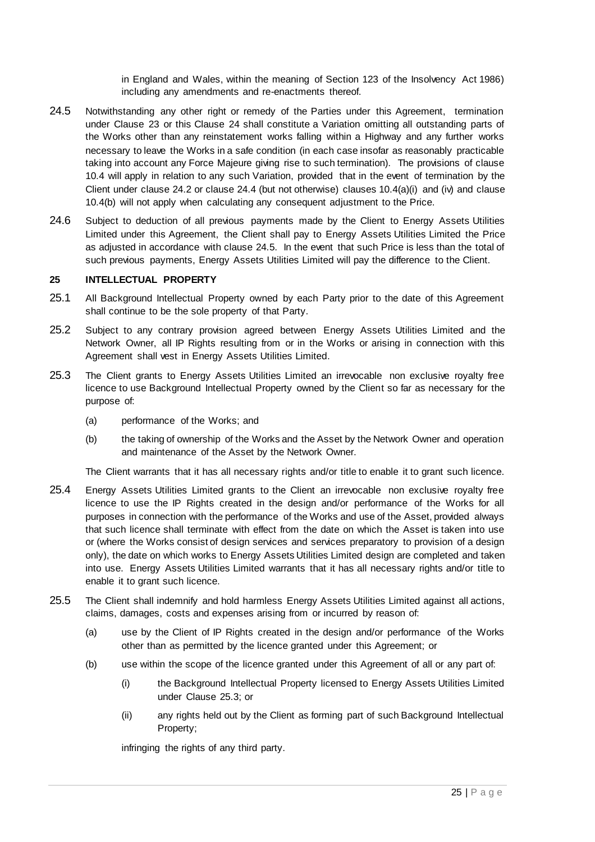in England and Wales, within the meaning of Section 123 of the Insolvency Act 1986) including any amendments and re-enactments thereof.

- <span id="page-24-1"></span>24.5 Notwithstanding any other right or remedy of the Parties under this Agreement, termination under Clause [23](#page-22-2) or this Clause [24](#page-23-1) shall constitute a Variation omitting all outstanding parts of the Works other than any reinstatement works falling within a Highway and any further works necessary to leave the Works in a safe condition (in each case insofar as reasonably practicable taking into account any Force Majeure giving rise to such termination). The provisions of clause [10.4](#page-15-0) will apply in relation to any such Variation, provided that in the event of termination by the Client under clause [24.2](#page-23-2) or clause [24.4](#page-23-3) (but not otherwise) clauses  $10.4(a)(i)$  $10.4(a)(i)$  $10.4(a)(i)$  and  $(iv)$  and clause [10.4\(b\)](#page-15-4) will not apply when calculating any consequent adjustment to the Price.
- 24.6 Subject to deduction of all previous payments made by the Client to Energy Assets Utilities Limited under this Agreement, the Client shall pay to Energy Assets Utilities Limited the Price as adjusted in accordance with clause [24.5.](#page-24-1) In the event that such Price is less than the total of such previous payments, Energy Assets Utilities Limited will pay the difference to the Client.

#### <span id="page-24-0"></span>**25 INTELLECTUAL PROPERTY**

- 25.1 All Background Intellectual Property owned by each Party prior to the date of this Agreement shall continue to be the sole property of that Party.
- 25.2 Subject to any contrary provision agreed between Energy Assets Utilities Limited and the Network Owner, all IP Rights resulting from or in the Works or arising in connection with this Agreement shall vest in Energy Assets Utilities Limited.
- <span id="page-24-2"></span>25.3 The Client grants to Energy Assets Utilities Limited an irrevocable non exclusive royalty free licence to use Background Intellectual Property owned by the Client so far as necessary for the purpose of:
	- (a) performance of the Works; and
	- (b) the taking of ownership of the Works and the Asset by the Network Owner and operation and maintenance of the Asset by the Network Owner.

The Client warrants that it has all necessary rights and/or title to enable it to grant such licence.

- 25.4 Energy Assets Utilities Limited grants to the Client an irrevocable non exclusive royalty free licence to use the IP Rights created in the design and/or performance of the Works for all purposes in connection with the performance of the Works and use of the Asset, provided always that such licence shall terminate with effect from the date on which the Asset is taken into use or (where the Works consist of design services and services preparatory to provision of a design only), the date on which works to Energy Assets Utilities Limited design are completed and taken into use. Energy Assets Utilities Limited warrants that it has all necessary rights and/or title to enable it to grant such licence.
- 25.5 The Client shall indemnify and hold harmless Energy Assets Utilities Limited against all actions, claims, damages, costs and expenses arising from or incurred by reason of:
	- (a) use by the Client of IP Rights created in the design and/or performance of the Works other than as permitted by the licence granted under this Agreement; or
	- (b) use within the scope of the licence granted under this Agreement of all or any part of:
		- (i) the Background Intellectual Property licensed to Energy Assets Utilities Limited under Clause [25.3;](#page-24-2) or
		- (ii) any rights held out by the Client as forming part of such Background Intellectual Property;

infringing the rights of any third party.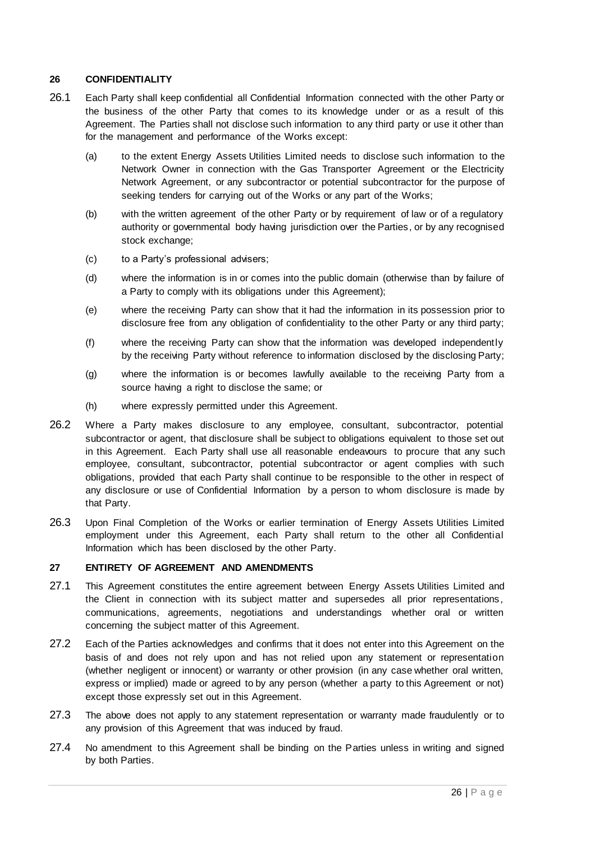#### <span id="page-25-0"></span>**26 CONFIDENTIALITY**

- 26.1 Each Party shall keep confidential all Confidential Information connected with the other Party or the business of the other Party that comes to its knowledge under or as a result of this Agreement. The Parties shall not disclose such information to any third party or use it other than for the management and performance of the Works except:
	- (a) to the extent Energy Assets Utilities Limited needs to disclose such information to the Network Owner in connection with the Gas Transporter Agreement or the Electricity Network Agreement, or any subcontractor or potential subcontractor for the purpose of seeking tenders for carrying out of the Works or any part of the Works;
	- (b) with the written agreement of the other Party or by requirement of law or of a regulatory authority or governmental body having jurisdiction over the Parties, or by any recognised stock exchange;
	- (c) to a Party's professional advisers;
	- (d) where the information is in or comes into the public domain (otherwise than by failure of a Party to comply with its obligations under this Agreement);
	- (e) where the receiving Party can show that it had the information in its possession prior to disclosure free from any obligation of confidentiality to the other Party or any third party;
	- (f) where the receiving Party can show that the information was developed independently by the receiving Party without reference to information disclosed by the disclosing Party;
	- (g) where the information is or becomes lawfully available to the receiving Party from a source having a right to disclose the same; or
	- (h) where expressly permitted under this Agreement.
- 26.2 Where a Party makes disclosure to any employee, consultant, subcontractor, potential subcontractor or agent, that disclosure shall be subject to obligations equivalent to those set out in this Agreement. Each Party shall use all reasonable endeavours to procure that any such employee, consultant, subcontractor, potential subcontractor or agent complies with such obligations, provided that each Party shall continue to be responsible to the other in respect of any disclosure or use of Confidential Information by a person to whom disclosure is made by that Party.
- 26.3 Upon Final Completion of the Works or earlier termination of Energy Assets Utilities Limited employment under this Agreement, each Party shall return to the other all Confidential Information which has been disclosed by the other Party.

### <span id="page-25-1"></span>**27 ENTIRETY OF AGREEMENT AND AMENDMENTS**

- 27.1 This Agreement constitutes the entire agreement between Energy Assets Utilities Limited and the Client in connection with its subject matter and supersedes all prior representations, communications, agreements, negotiations and understandings whether oral or written concerning the subject matter of this Agreement.
- 27.2 Each of the Parties acknowledges and confirms that it does not enter into this Agreement on the basis of and does not rely upon and has not relied upon any statement or representation (whether negligent or innocent) or warranty or other provision (in any case whether oral written, express or implied) made or agreed to by any person (whether a party to this Agreement or not) except those expressly set out in this Agreement.
- 27.3 The above does not apply to any statement representation or warranty made fraudulently or to any provision of this Agreement that was induced by fraud.
- 27.4 No amendment to this Agreement shall be binding on the Parties unless in writing and signed by both Parties.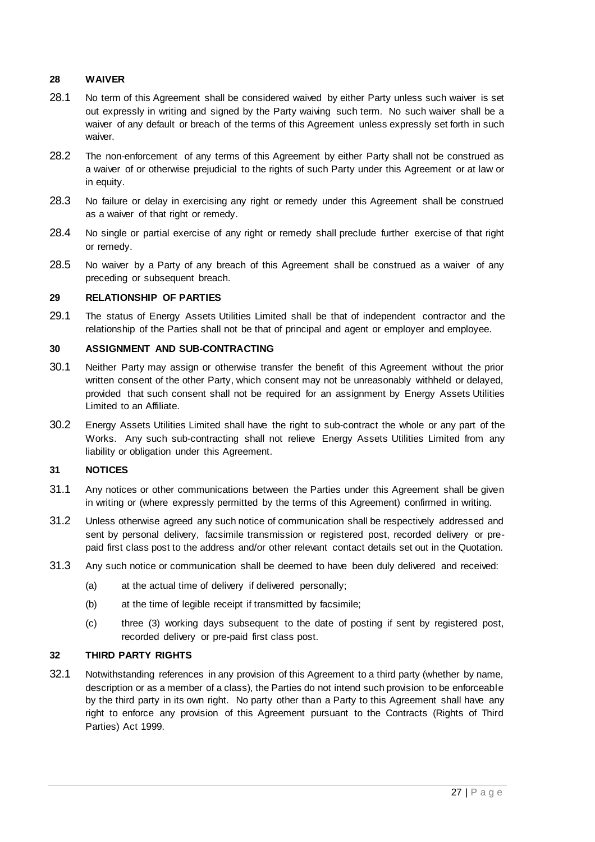#### <span id="page-26-0"></span>**28 WAIVER**

- 28.1 No term of this Agreement shall be considered waived by either Party unless such waiver is set out expressly in writing and signed by the Party waiving such term. No such waiver shall be a waiver of any default or breach of the terms of this Agreement unless expressly set forth in such waiver.
- 28.2 The non-enforcement of any terms of this Agreement by either Party shall not be construed as a waiver of or otherwise prejudicial to the rights of such Party under this Agreement or at law or in equity.
- 28.3 No failure or delay in exercising any right or remedy under this Agreement shall be construed as a waiver of that right or remedy.
- 28.4 No single or partial exercise of any right or remedy shall preclude further exercise of that right or remedy.
- 28.5 No waiver by a Party of any breach of this Agreement shall be construed as a waiver of any preceding or subsequent breach.

#### <span id="page-26-1"></span>**29 RELATIONSHIP OF PARTIES**

29.1 The status of Energy Assets Utilities Limited shall be that of independent contractor and the relationship of the Parties shall not be that of principal and agent or employer and employee.

#### <span id="page-26-2"></span>**30 ASSIGNMENT AND SUB-CONTRACTING**

- 30.1 Neither Party may assign or otherwise transfer the benefit of this Agreement without the prior written consent of the other Party, which consent may not be unreasonably withheld or delayed, provided that such consent shall not be required for an assignment by Energy Assets Utilities Limited to an Affiliate.
- 30.2 Energy Assets Utilities Limited shall have the right to sub-contract the whole or any part of the Works. Any such sub-contracting shall not relieve Energy Assets Utilities Limited from any liability or obligation under this Agreement.

### <span id="page-26-3"></span>**31 NOTICES**

- 31.1 Any notices or other communications between the Parties under this Agreement shall be given in writing or (where expressly permitted by the terms of this Agreement) confirmed in writing.
- 31.2 Unless otherwise agreed any such notice of communication shall be respectively addressed and sent by personal delivery, facsimile transmission or registered post, recorded delivery or prepaid first class post to the address and/or other relevant contact details set out in the Quotation.
- 31.3 Any such notice or communication shall be deemed to have been duly delivered and received:
	- (a) at the actual time of delivery if delivered personally;
	- (b) at the time of legible receipt if transmitted by facsimile;
	- (c) three (3) working days subsequent to the date of posting if sent by registered post, recorded delivery or pre-paid first class post.

#### <span id="page-26-4"></span>**32 THIRD PARTY RIGHTS**

32.1 Notwithstanding references in any provision of this Agreement to a third party (whether by name, description or as a member of a class), the Parties do not intend such provision to be enforceable by the third party in its own right. No party other than a Party to this Agreement shall have any right to enforce any provision of this Agreement pursuant to the Contracts (Rights of Third Parties) Act 1999.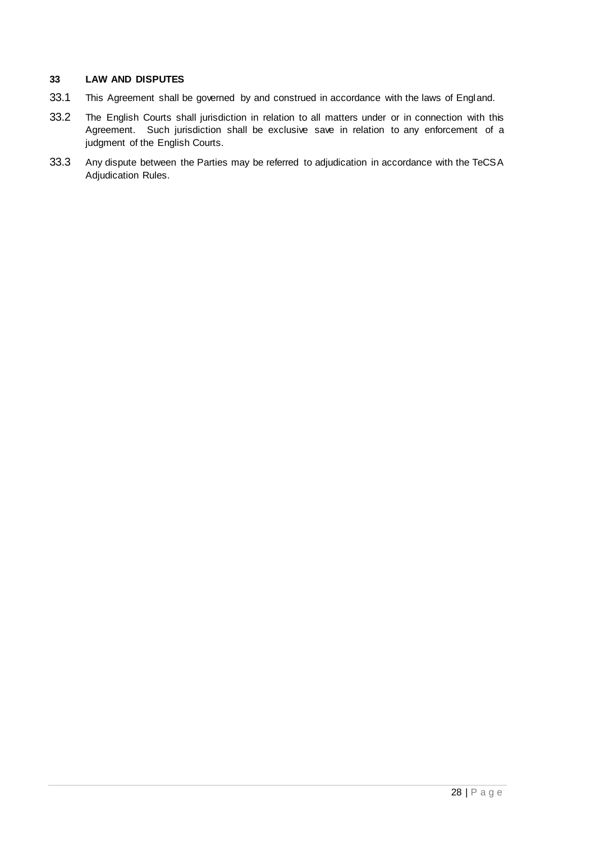#### <span id="page-27-1"></span><span id="page-27-0"></span>**33 LAW AND DISPUTES**

- 33.1 This Agreement shall be governed by and construed in accordance with the laws of England.
- 33.2 The English Courts shall jurisdiction in relation to all matters under or in connection with this Agreement. Such jurisdiction shall be exclusive save in relation to any enforcement of a judgment of the English Courts.
- 33.3 Any dispute between the Parties may be referred to adjudication in accordance with the TeCSA Adjudication Rules.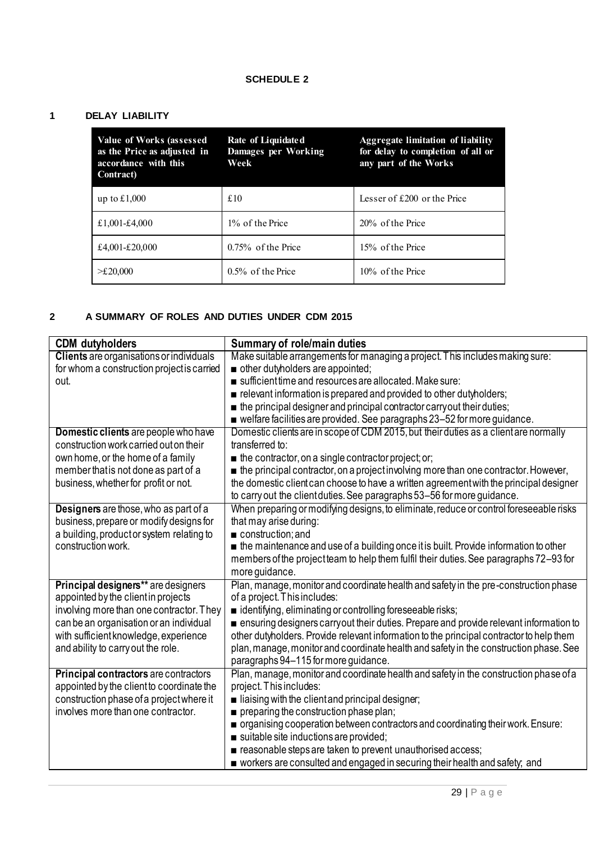# **SCHEDULE 2**

# <span id="page-28-0"></span>**1 DELAY LIABILITY**

| Value of Works (assessed<br>as the Price as adjusted in<br>accordance with this<br><b>Contract</b> ) | Rate of Liquidated<br>Damages per Working<br>Week | <b>Aggregate limitation of liability</b><br>for delay to completion of all or<br>any part of the Works |
|------------------------------------------------------------------------------------------------------|---------------------------------------------------|--------------------------------------------------------------------------------------------------------|
| up to $£1,000$                                                                                       | £10                                               | Lesser of $£200$ or the Price                                                                          |
| £1,001-£4,000                                                                                        | 1\% of the Price                                  | 20% of the Price                                                                                       |
| £4,001-£20,000                                                                                       | $0.75\%$ of the Price                             | 15% of the Price                                                                                       |
| $>\pounds 20,000$                                                                                    | $0.5\%$ of the Price                              | 10% of the Price                                                                                       |

# <span id="page-28-1"></span>**2 A SUMMARY OF ROLES AND DUTIES UNDER CDM 2015**

| <b>CDM</b> dutyholders                          | <b>Summary of role/main duties</b>                                                                 |
|-------------------------------------------------|----------------------------------------------------------------------------------------------------|
| <b>Clients</b> are organisations or individuals | Make suitable arrangements for managing a project. This includes making sure:                      |
| for whom a construction project is carried      | other dutyholders are appointed;                                                                   |
| out.                                            | sufficient time and resources are allocated. Make sure:                                            |
|                                                 | relevant information is prepared and provided to other dutyholders;                                |
|                                                 | $\blacksquare$ the principal designer and principal contractor carry out their duties;             |
|                                                 | ■ welfare facilities are provided. See paragraphs 23-52 for more guidance.                         |
| Domestic clients are people who have            | Domestic clients are in scope of CDM 2015, but their duties as a client are normally               |
| construction work carried out on their          | transferred to:                                                                                    |
| own home, or the home of a family               | $\blacksquare$ the contractor, on a single contractor project; or;                                 |
| member that is not done as part of a            | $\blacksquare$ the principal contractor, on a project involving more than one contractor. However, |
| business, whether for profit or not.            | the domestic client can choose to have a written agreement with the principal designer             |
|                                                 | to carry out the client duties. See paragraphs 53-56 for more guidance.                            |
| Designers are those, who as part of a           | When preparing or modifying designs, to eliminate, reduce or control foreseeable risks             |
| business, prepare or modify designs for         | that may arise during:                                                                             |
| a building, product or system relating to       | construction; and                                                                                  |
| construction work.                              | the maintenance and use of a building once it is built. Provide information to other               |
|                                                 | members of the project team to help them fulfil their duties. See paragraphs 72-93 for             |
|                                                 | more guidance.                                                                                     |
| Principal designers** are designers             | Plan, manage, monitor and coordinate health and safety in the pre-construction phase               |
| appointed by the client in projects             | of a project. This includes:                                                                       |
| involving more than one contractor. They        | identifying, eliminating or controlling foreseeable risks;                                         |
| can be an organisation or an individual         | ensuring designers carryout their duties. Prepare and provide relevant information to              |
| with sufficient knowledge, experience           | other dutyholders. Provide relevant information to the principal contractor to help them           |
| and ability to carry out the role.              | plan, manage, monitor and coordinate health and safety in the construction phase. See              |
|                                                 | paragraphs 94-115 for more guidance.                                                               |
| Principal contractors are contractors           | Plan, manage, monitor and coordinate health and safety in the construction phase of a              |
| appointed by the client to coordinate the       | project. This includes:                                                                            |
| construction phase of a project where it        | $\blacksquare$ liaising with the client and principal designer;                                    |
| involves more than one contractor.              | $\blacksquare$ preparing the construction phase plan;                                              |
|                                                 | organising cooperation between contractors and coordinating their work. Ensure:                    |
|                                                 | suitable site inductions are provided;                                                             |
|                                                 | e reasonable steps are taken to prevent unauthorised access;                                       |
|                                                 | workers are consulted and engaged in securing their health and safety, and                         |